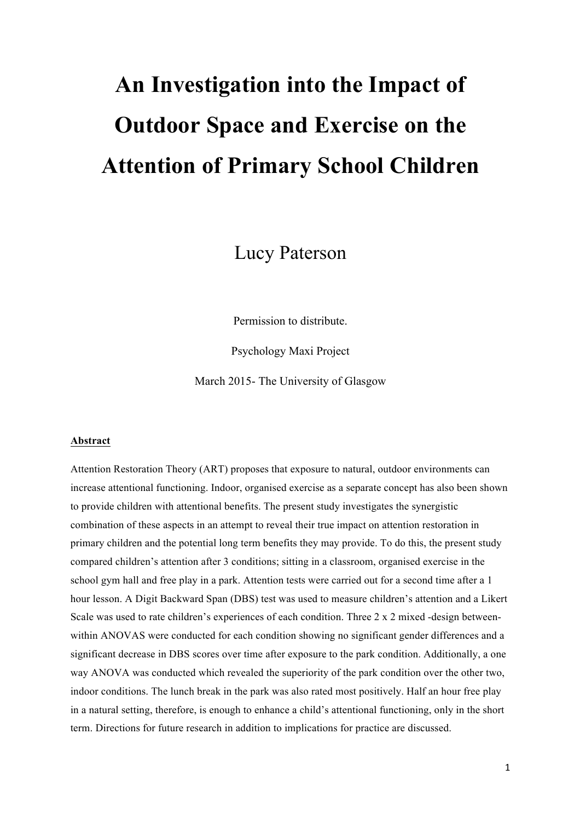# **An Investigation into the Impact of Outdoor Space and Exercise on the Attention of Primary School Children**

Lucy Paterson

Permission to distribute.

Psychology Maxi Project

March 2015- The University of Glasgow

# **Abstract**

Attention Restoration Theory (ART) proposes that exposure to natural, outdoor environments can increase attentional functioning. Indoor, organised exercise as a separate concept has also been shown to provide children with attentional benefits. The present study investigates the synergistic combination of these aspects in an attempt to reveal their true impact on attention restoration in primary children and the potential long term benefits they may provide. To do this, the present study compared children's attention after 3 conditions; sitting in a classroom, organised exercise in the school gym hall and free play in a park. Attention tests were carried out for a second time after a 1 hour lesson. A Digit Backward Span (DBS) test was used to measure children's attention and a Likert Scale was used to rate children's experiences of each condition. Three 2 x 2 mixed -design betweenwithin ANOVAS were conducted for each condition showing no significant gender differences and a significant decrease in DBS scores over time after exposure to the park condition. Additionally, a one way ANOVA was conducted which revealed the superiority of the park condition over the other two, indoor conditions. The lunch break in the park was also rated most positively. Half an hour free play in a natural setting, therefore, is enough to enhance a child's attentional functioning, only in the short term. Directions for future research in addition to implications for practice are discussed.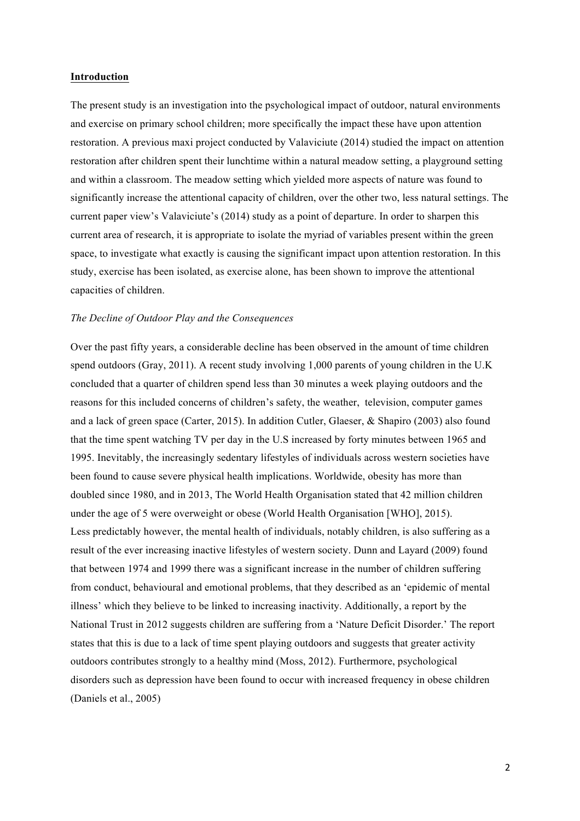# **Introduction**

The present study is an investigation into the psychological impact of outdoor, natural environments and exercise on primary school children; more specifically the impact these have upon attention restoration. A previous maxi project conducted by Valaviciute (2014) studied the impact on attention restoration after children spent their lunchtime within a natural meadow setting, a playground setting and within a classroom. The meadow setting which yielded more aspects of nature was found to significantly increase the attentional capacity of children, over the other two, less natural settings. The current paper view's Valaviciute's (2014) study as a point of departure. In order to sharpen this current area of research, it is appropriate to isolate the myriad of variables present within the green space, to investigate what exactly is causing the significant impact upon attention restoration. In this study, exercise has been isolated, as exercise alone, has been shown to improve the attentional capacities of children.

#### *The Decline of Outdoor Play and the Consequences*

Over the past fifty years, a considerable decline has been observed in the amount of time children spend outdoors (Gray, 2011). A recent study involving 1,000 parents of young children in the U.K concluded that a quarter of children spend less than 30 minutes a week playing outdoors and the reasons for this included concerns of children's safety, the weather, television, computer games and a lack of green space (Carter, 2015). In addition Cutler, Glaeser, & Shapiro (2003) also found that the time spent watching TV per day in the U.S increased by forty minutes between 1965 and 1995. Inevitably, the increasingly sedentary lifestyles of individuals across western societies have been found to cause severe physical health implications. Worldwide, obesity has more than doubled since 1980, and in 2013, The World Health Organisation stated that 42 million children under the age of 5 were overweight or obese (World Health Organisation [WHO], 2015). Less predictably however, the mental health of individuals, notably children, is also suffering as a result of the ever increasing inactive lifestyles of western society. Dunn and Layard (2009) found that between 1974 and 1999 there was a significant increase in the number of children suffering from conduct, behavioural and emotional problems, that they described as an 'epidemic of mental illness' which they believe to be linked to increasing inactivity. Additionally, a report by the National Trust in 2012 suggests children are suffering from a 'Nature Deficit Disorder.' The report states that this is due to a lack of time spent playing outdoors and suggests that greater activity outdoors contributes strongly to a healthy mind (Moss, 2012). Furthermore, psychological disorders such as depression have been found to occur with increased frequency in obese children (Daniels et al., 2005)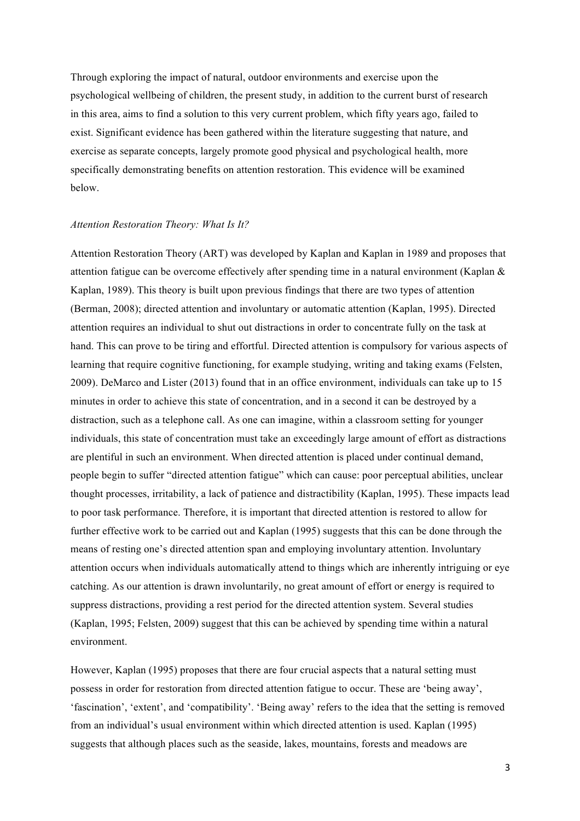Through exploring the impact of natural, outdoor environments and exercise upon the psychological wellbeing of children, the present study, in addition to the current burst of research in this area, aims to find a solution to this very current problem, which fifty years ago, failed to exist. Significant evidence has been gathered within the literature suggesting that nature, and exercise as separate concepts, largely promote good physical and psychological health, more specifically demonstrating benefits on attention restoration. This evidence will be examined below.

#### *Attention Restoration Theory: What Is It?*

Attention Restoration Theory (ART) was developed by Kaplan and Kaplan in 1989 and proposes that attention fatigue can be overcome effectively after spending time in a natural environment (Kaplan & Kaplan, 1989). This theory is built upon previous findings that there are two types of attention (Berman, 2008); directed attention and involuntary or automatic attention (Kaplan, 1995). Directed attention requires an individual to shut out distractions in order to concentrate fully on the task at hand. This can prove to be tiring and effortful. Directed attention is compulsory for various aspects of learning that require cognitive functioning, for example studying, writing and taking exams (Felsten, 2009). DeMarco and Lister (2013) found that in an office environment, individuals can take up to 15 minutes in order to achieve this state of concentration, and in a second it can be destroyed by a distraction, such as a telephone call. As one can imagine, within a classroom setting for younger individuals, this state of concentration must take an exceedingly large amount of effort as distractions are plentiful in such an environment. When directed attention is placed under continual demand, people begin to suffer "directed attention fatigue" which can cause: poor perceptual abilities, unclear thought processes, irritability, a lack of patience and distractibility (Kaplan, 1995). These impacts lead to poor task performance. Therefore, it is important that directed attention is restored to allow for further effective work to be carried out and Kaplan (1995) suggests that this can be done through the means of resting one's directed attention span and employing involuntary attention. Involuntary attention occurs when individuals automatically attend to things which are inherently intriguing or eye catching. As our attention is drawn involuntarily, no great amount of effort or energy is required to suppress distractions, providing a rest period for the directed attention system. Several studies (Kaplan, 1995; Felsten, 2009) suggest that this can be achieved by spending time within a natural environment.

However, Kaplan (1995) proposes that there are four crucial aspects that a natural setting must possess in order for restoration from directed attention fatigue to occur. These are 'being away', 'fascination', 'extent', and 'compatibility'. 'Being away' refers to the idea that the setting is removed from an individual's usual environment within which directed attention is used. Kaplan (1995) suggests that although places such as the seaside, lakes, mountains, forests and meadows are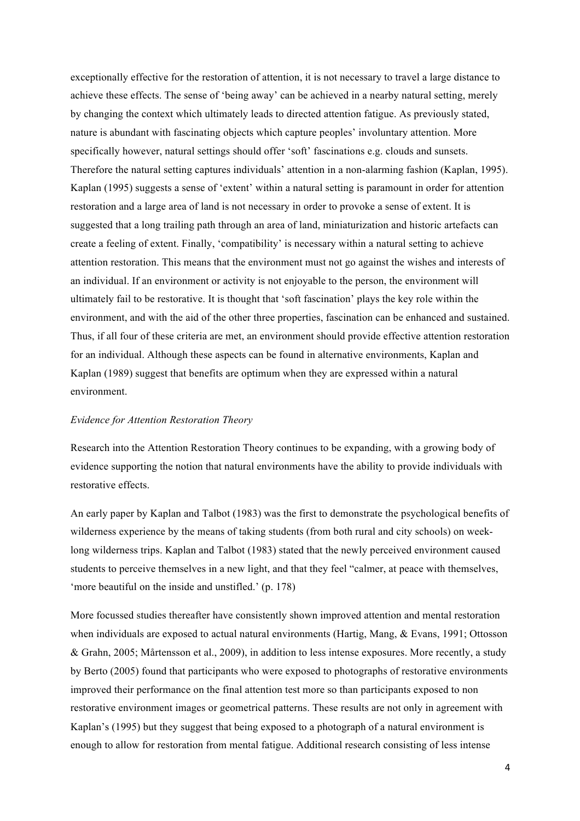exceptionally effective for the restoration of attention, it is not necessary to travel a large distance to achieve these effects. The sense of 'being away' can be achieved in a nearby natural setting, merely by changing the context which ultimately leads to directed attention fatigue. As previously stated, nature is abundant with fascinating objects which capture peoples' involuntary attention. More specifically however, natural settings should offer 'soft' fascinations e.g. clouds and sunsets. Therefore the natural setting captures individuals' attention in a non-alarming fashion (Kaplan, 1995). Kaplan (1995) suggests a sense of 'extent' within a natural setting is paramount in order for attention restoration and a large area of land is not necessary in order to provoke a sense of extent. It is suggested that a long trailing path through an area of land, miniaturization and historic artefacts can create a feeling of extent. Finally, 'compatibility' is necessary within a natural setting to achieve attention restoration. This means that the environment must not go against the wishes and interests of an individual. If an environment or activity is not enjoyable to the person, the environment will ultimately fail to be restorative. It is thought that 'soft fascination' plays the key role within the environment, and with the aid of the other three properties, fascination can be enhanced and sustained. Thus, if all four of these criteria are met, an environment should provide effective attention restoration for an individual. Although these aspects can be found in alternative environments, Kaplan and Kaplan (1989) suggest that benefits are optimum when they are expressed within a natural environment.

# *Evidence for Attention Restoration Theory*

Research into the Attention Restoration Theory continues to be expanding, with a growing body of evidence supporting the notion that natural environments have the ability to provide individuals with restorative effects.

An early paper by Kaplan and Talbot (1983) was the first to demonstrate the psychological benefits of wilderness experience by the means of taking students (from both rural and city schools) on weeklong wilderness trips. Kaplan and Talbot (1983) stated that the newly perceived environment caused students to perceive themselves in a new light, and that they feel "calmer, at peace with themselves, 'more beautiful on the inside and unstifled.' (p. 178)

More focussed studies thereafter have consistently shown improved attention and mental restoration when individuals are exposed to actual natural environments (Hartig, Mang, & Evans, 1991; Ottosson & Grahn, 2005; Mårtensson et al., 2009), in addition to less intense exposures. More recently, a study by Berto (2005) found that participants who were exposed to photographs of restorative environments improved their performance on the final attention test more so than participants exposed to non restorative environment images or geometrical patterns. These results are not only in agreement with Kaplan's (1995) but they suggest that being exposed to a photograph of a natural environment is enough to allow for restoration from mental fatigue. Additional research consisting of less intense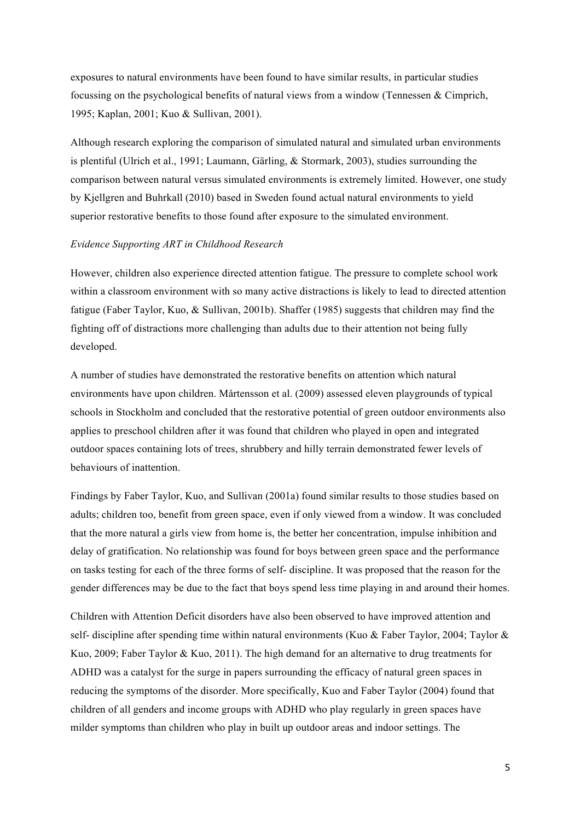exposures to natural environments have been found to have similar results, in particular studies focussing on the psychological benefits of natural views from a window (Tennessen & Cimprich, 1995; Kaplan, 2001; Kuo & Sullivan, 2001).

Although research exploring the comparison of simulated natural and simulated urban environments is plentiful (Ulrich et al., 1991; Laumann, Gärling, & Stormark, 2003), studies surrounding the comparison between natural versus simulated environments is extremely limited. However, one study by Kjellgren and Buhrkall (2010) based in Sweden found actual natural environments to yield superior restorative benefits to those found after exposure to the simulated environment.

# *Evidence Supporting ART in Childhood Research*

However, children also experience directed attention fatigue. The pressure to complete school work within a classroom environment with so many active distractions is likely to lead to directed attention fatigue (Faber Taylor, Kuo, & Sullivan, 2001b). Shaffer (1985) suggests that children may find the fighting off of distractions more challenging than adults due to their attention not being fully developed.

A number of studies have demonstrated the restorative benefits on attention which natural environments have upon children. Mårtensson et al. (2009) assessed eleven playgrounds of typical schools in Stockholm and concluded that the restorative potential of green outdoor environments also applies to preschool children after it was found that children who played in open and integrated outdoor spaces containing lots of trees, shrubbery and hilly terrain demonstrated fewer levels of behaviours of inattention.

Findings by Faber Taylor, Kuo, and Sullivan (2001a) found similar results to those studies based on adults; children too, benefit from green space, even if only viewed from a window. It was concluded that the more natural a girls view from home is, the better her concentration, impulse inhibition and delay of gratification. No relationship was found for boys between green space and the performance on tasks testing for each of the three forms of self- discipline. It was proposed that the reason for the gender differences may be due to the fact that boys spend less time playing in and around their homes.

Children with Attention Deficit disorders have also been observed to have improved attention and self- discipline after spending time within natural environments (Kuo & Faber Taylor, 2004; Taylor & Kuo, 2009; Faber Taylor & Kuo, 2011). The high demand for an alternative to drug treatments for ADHD was a catalyst for the surge in papers surrounding the efficacy of natural green spaces in reducing the symptoms of the disorder. More specifically, Kuo and Faber Taylor (2004) found that children of all genders and income groups with ADHD who play regularly in green spaces have milder symptoms than children who play in built up outdoor areas and indoor settings. The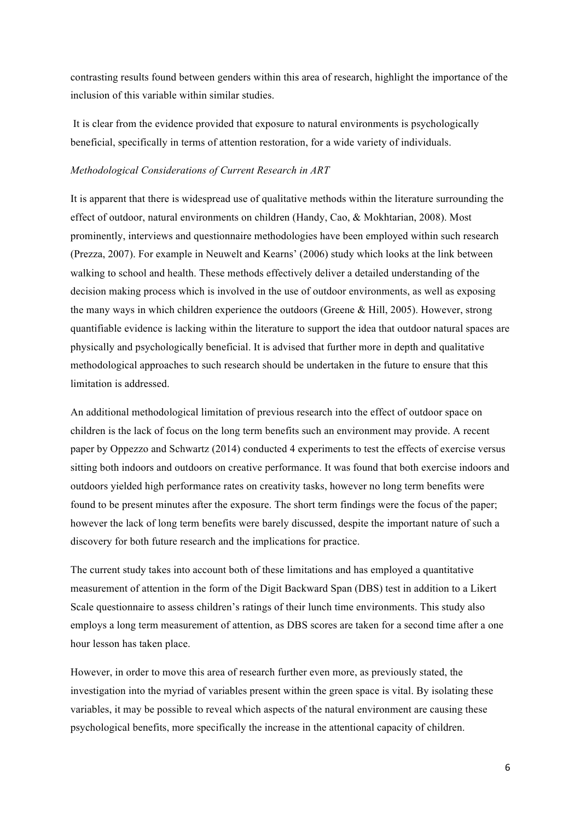contrasting results found between genders within this area of research, highlight the importance of the inclusion of this variable within similar studies.

It is clear from the evidence provided that exposure to natural environments is psychologically beneficial, specifically in terms of attention restoration, for a wide variety of individuals.

# *Methodological Considerations of Current Research in ART*

It is apparent that there is widespread use of qualitative methods within the literature surrounding the effect of outdoor, natural environments on children (Handy, Cao, & Mokhtarian, 2008). Most prominently, interviews and questionnaire methodologies have been employed within such research (Prezza, 2007). For example in Neuwelt and Kearns' (2006) study which looks at the link between walking to school and health. These methods effectively deliver a detailed understanding of the decision making process which is involved in the use of outdoor environments, as well as exposing the many ways in which children experience the outdoors (Greene & Hill, 2005). However, strong quantifiable evidence is lacking within the literature to support the idea that outdoor natural spaces are physically and psychologically beneficial. It is advised that further more in depth and qualitative methodological approaches to such research should be undertaken in the future to ensure that this limitation is addressed.

An additional methodological limitation of previous research into the effect of outdoor space on children is the lack of focus on the long term benefits such an environment may provide. A recent paper by Oppezzo and Schwartz (2014) conducted 4 experiments to test the effects of exercise versus sitting both indoors and outdoors on creative performance. It was found that both exercise indoors and outdoors yielded high performance rates on creativity tasks, however no long term benefits were found to be present minutes after the exposure. The short term findings were the focus of the paper; however the lack of long term benefits were barely discussed, despite the important nature of such a discovery for both future research and the implications for practice.

The current study takes into account both of these limitations and has employed a quantitative measurement of attention in the form of the Digit Backward Span (DBS) test in addition to a Likert Scale questionnaire to assess children's ratings of their lunch time environments. This study also employs a long term measurement of attention, as DBS scores are taken for a second time after a one hour lesson has taken place.

However, in order to move this area of research further even more, as previously stated, the investigation into the myriad of variables present within the green space is vital. By isolating these variables, it may be possible to reveal which aspects of the natural environment are causing these psychological benefits, more specifically the increase in the attentional capacity of children.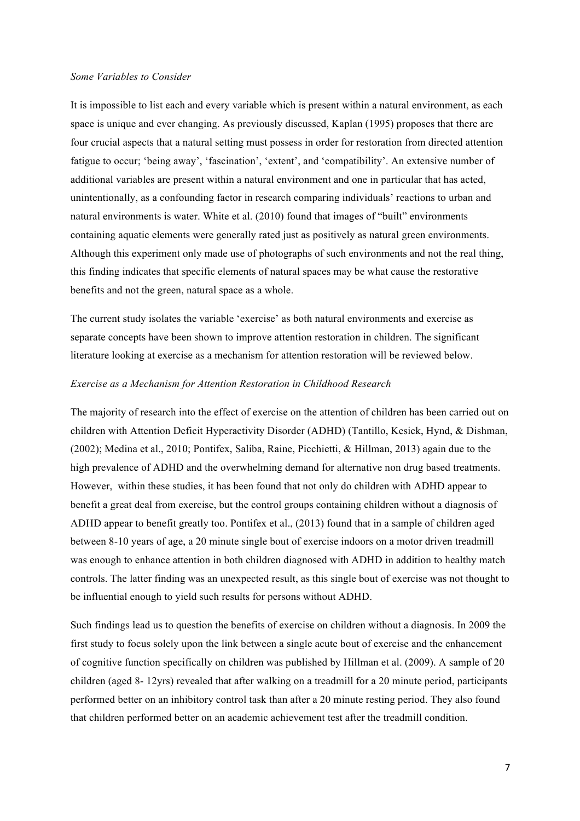#### *Some Variables to Consider*

It is impossible to list each and every variable which is present within a natural environment, as each space is unique and ever changing. As previously discussed, Kaplan (1995) proposes that there are four crucial aspects that a natural setting must possess in order for restoration from directed attention fatigue to occur; 'being away', 'fascination', 'extent', and 'compatibility'. An extensive number of additional variables are present within a natural environment and one in particular that has acted, unintentionally, as a confounding factor in research comparing individuals' reactions to urban and natural environments is water. White et al. (2010) found that images of "built" environments containing aquatic elements were generally rated just as positively as natural green environments. Although this experiment only made use of photographs of such environments and not the real thing, this finding indicates that specific elements of natural spaces may be what cause the restorative benefits and not the green, natural space as a whole.

The current study isolates the variable 'exercise' as both natural environments and exercise as separate concepts have been shown to improve attention restoration in children. The significant literature looking at exercise as a mechanism for attention restoration will be reviewed below.

# *Exercise as a Mechanism for Attention Restoration in Childhood Research*

The majority of research into the effect of exercise on the attention of children has been carried out on children with Attention Deficit Hyperactivity Disorder (ADHD) (Tantillo, Kesick, Hynd, & Dishman, (2002); Medina et al., 2010; Pontifex, Saliba, Raine, Picchietti, & Hillman, 2013) again due to the high prevalence of ADHD and the overwhelming demand for alternative non drug based treatments. However, within these studies, it has been found that not only do children with ADHD appear to benefit a great deal from exercise, but the control groups containing children without a diagnosis of ADHD appear to benefit greatly too. Pontifex et al., (2013) found that in a sample of children aged between 8-10 years of age, a 20 minute single bout of exercise indoors on a motor driven treadmill was enough to enhance attention in both children diagnosed with ADHD in addition to healthy match controls. The latter finding was an unexpected result, as this single bout of exercise was not thought to be influential enough to yield such results for persons without ADHD.

Such findings lead us to question the benefits of exercise on children without a diagnosis. In 2009 the first study to focus solely upon the link between a single acute bout of exercise and the enhancement of cognitive function specifically on children was published by Hillman et al. (2009). A sample of 20 children (aged 8- 12yrs) revealed that after walking on a treadmill for a 20 minute period, participants performed better on an inhibitory control task than after a 20 minute resting period. They also found that children performed better on an academic achievement test after the treadmill condition.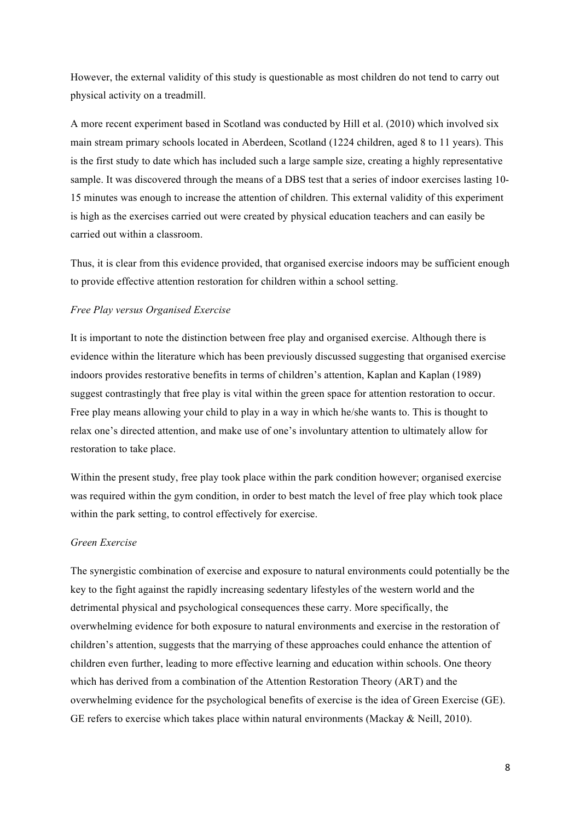However, the external validity of this study is questionable as most children do not tend to carry out physical activity on a treadmill.

A more recent experiment based in Scotland was conducted by Hill et al. (2010) which involved six main stream primary schools located in Aberdeen, Scotland (1224 children, aged 8 to 11 years). This is the first study to date which has included such a large sample size, creating a highly representative sample. It was discovered through the means of a DBS test that a series of indoor exercises lasting 10- 15 minutes was enough to increase the attention of children. This external validity of this experiment is high as the exercises carried out were created by physical education teachers and can easily be carried out within a classroom.

Thus, it is clear from this evidence provided, that organised exercise indoors may be sufficient enough to provide effective attention restoration for children within a school setting.

# *Free Play versus Organised Exercise*

It is important to note the distinction between free play and organised exercise. Although there is evidence within the literature which has been previously discussed suggesting that organised exercise indoors provides restorative benefits in terms of children's attention, Kaplan and Kaplan (1989) suggest contrastingly that free play is vital within the green space for attention restoration to occur. Free play means allowing your child to play in a way in which he/she wants to. This is thought to relax one's directed attention, and make use of one's involuntary attention to ultimately allow for restoration to take place.

Within the present study, free play took place within the park condition however; organised exercise was required within the gym condition, in order to best match the level of free play which took place within the park setting, to control effectively for exercise.

#### *Green Exercise*

The synergistic combination of exercise and exposure to natural environments could potentially be the key to the fight against the rapidly increasing sedentary lifestyles of the western world and the detrimental physical and psychological consequences these carry. More specifically, the overwhelming evidence for both exposure to natural environments and exercise in the restoration of children's attention, suggests that the marrying of these approaches could enhance the attention of children even further, leading to more effective learning and education within schools. One theory which has derived from a combination of the Attention Restoration Theory (ART) and the overwhelming evidence for the psychological benefits of exercise is the idea of Green Exercise (GE). GE refers to exercise which takes place within natural environments (Mackay & Neill, 2010).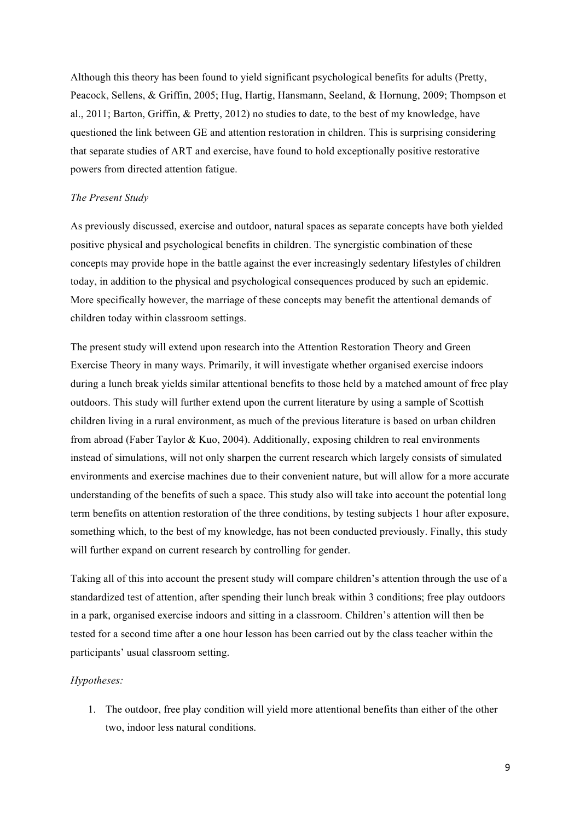Although this theory has been found to yield significant psychological benefits for adults (Pretty, Peacock, Sellens, & Griffin, 2005; Hug, Hartig, Hansmann, Seeland, & Hornung, 2009; Thompson et al., 2011; Barton, Griffin, & Pretty, 2012) no studies to date, to the best of my knowledge, have questioned the link between GE and attention restoration in children. This is surprising considering that separate studies of ART and exercise, have found to hold exceptionally positive restorative powers from directed attention fatigue.

# *The Present Study*

As previously discussed, exercise and outdoor, natural spaces as separate concepts have both yielded positive physical and psychological benefits in children. The synergistic combination of these concepts may provide hope in the battle against the ever increasingly sedentary lifestyles of children today, in addition to the physical and psychological consequences produced by such an epidemic. More specifically however, the marriage of these concepts may benefit the attentional demands of children today within classroom settings.

The present study will extend upon research into the Attention Restoration Theory and Green Exercise Theory in many ways. Primarily, it will investigate whether organised exercise indoors during a lunch break yields similar attentional benefits to those held by a matched amount of free play outdoors. This study will further extend upon the current literature by using a sample of Scottish children living in a rural environment, as much of the previous literature is based on urban children from abroad (Faber Taylor & Kuo, 2004). Additionally, exposing children to real environments instead of simulations, will not only sharpen the current research which largely consists of simulated environments and exercise machines due to their convenient nature, but will allow for a more accurate understanding of the benefits of such a space. This study also will take into account the potential long term benefits on attention restoration of the three conditions, by testing subjects 1 hour after exposure, something which, to the best of my knowledge, has not been conducted previously. Finally, this study will further expand on current research by controlling for gender.

Taking all of this into account the present study will compare children's attention through the use of a standardized test of attention, after spending their lunch break within 3 conditions; free play outdoors in a park, organised exercise indoors and sitting in a classroom. Children's attention will then be tested for a second time after a one hour lesson has been carried out by the class teacher within the participants' usual classroom setting.

# *Hypotheses:*

1. The outdoor, free play condition will yield more attentional benefits than either of the other two, indoor less natural conditions.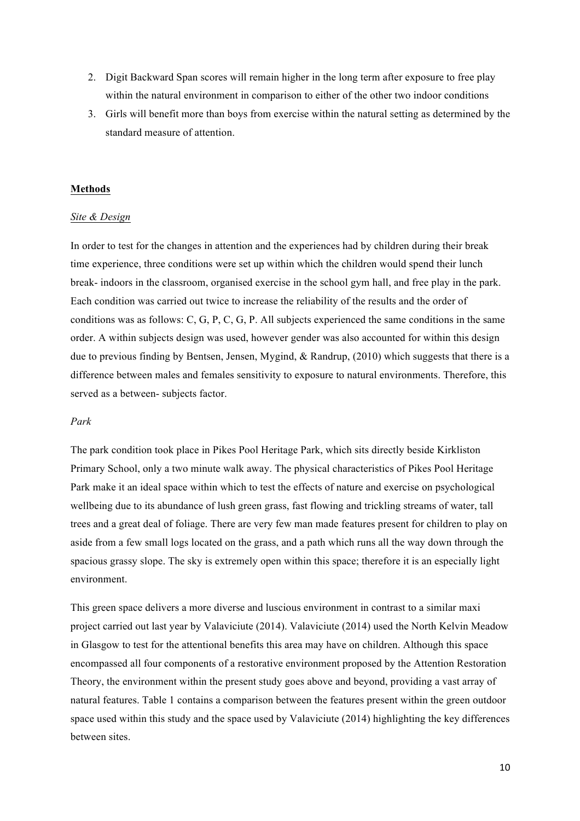- 2. Digit Backward Span scores will remain higher in the long term after exposure to free play within the natural environment in comparison to either of the other two indoor conditions
- 3. Girls will benefit more than boys from exercise within the natural setting as determined by the standard measure of attention.

### **Methods**

#### *Site & Design*

In order to test for the changes in attention and the experiences had by children during their break time experience, three conditions were set up within which the children would spend their lunch break- indoors in the classroom, organised exercise in the school gym hall, and free play in the park. Each condition was carried out twice to increase the reliability of the results and the order of conditions was as follows: C, G, P, C, G, P. All subjects experienced the same conditions in the same order. A within subjects design was used, however gender was also accounted for within this design due to previous finding by Bentsen, Jensen, Mygind, & Randrup, (2010) which suggests that there is a difference between males and females sensitivity to exposure to natural environments. Therefore, this served as a between- subjects factor.

#### *Park*

The park condition took place in Pikes Pool Heritage Park, which sits directly beside Kirkliston Primary School, only a two minute walk away. The physical characteristics of Pikes Pool Heritage Park make it an ideal space within which to test the effects of nature and exercise on psychological wellbeing due to its abundance of lush green grass, fast flowing and trickling streams of water, tall trees and a great deal of foliage. There are very few man made features present for children to play on aside from a few small logs located on the grass, and a path which runs all the way down through the spacious grassy slope. The sky is extremely open within this space; therefore it is an especially light environment.

This green space delivers a more diverse and luscious environment in contrast to a similar maxi project carried out last year by Valaviciute (2014). Valaviciute (2014) used the North Kelvin Meadow in Glasgow to test for the attentional benefits this area may have on children. Although this space encompassed all four components of a restorative environment proposed by the Attention Restoration Theory, the environment within the present study goes above and beyond, providing a vast array of natural features. Table 1 contains a comparison between the features present within the green outdoor space used within this study and the space used by Valaviciute (2014) highlighting the key differences between sites.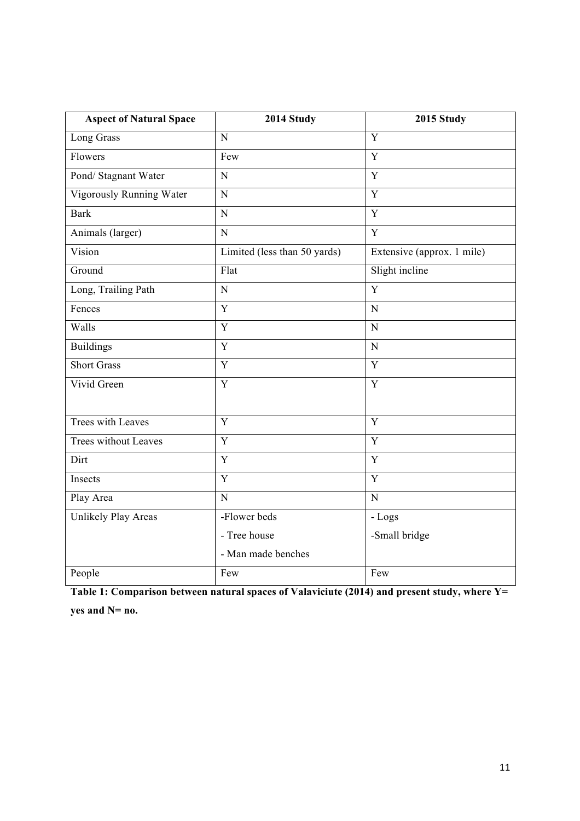| <b>Aspect of Natural Space</b> | 2014 Study                   | 2015 Study                 |  |  |  |  |
|--------------------------------|------------------------------|----------------------------|--|--|--|--|
| Long Grass                     | $\mathbf N$                  | Y                          |  |  |  |  |
| Flowers                        | Few                          | Y                          |  |  |  |  |
| Pond/ Stagnant Water           | ${\bf N}$                    | Y                          |  |  |  |  |
| Vigorously Running Water       | $\mathbf N$                  | Y                          |  |  |  |  |
| <b>Bark</b>                    | ${\bf N}$                    | Y                          |  |  |  |  |
| Animals (larger)               | ${\bf N}$                    | Y                          |  |  |  |  |
| Vision                         | Limited (less than 50 yards) | Extensive (approx. 1 mile) |  |  |  |  |
| Ground                         | Flat                         | Slight incline             |  |  |  |  |
| Long, Trailing Path            | $\mathbf N$                  | Y                          |  |  |  |  |
| Fences                         | Y                            | $\mathbf N$                |  |  |  |  |
| Walls                          | $\mathbf Y$                  | $\mathbf N$                |  |  |  |  |
| <b>Buildings</b>               | $\mathbf Y$                  | $\mathbf N$                |  |  |  |  |
| <b>Short Grass</b>             | Y                            | Y                          |  |  |  |  |
| Vivid Green                    | $\mathbf Y$                  | $\mathbf Y$                |  |  |  |  |
|                                |                              |                            |  |  |  |  |
| Trees with Leaves              | Y                            | Y                          |  |  |  |  |
| Trees without Leaves           | $\mathbf Y$                  | $\mathbf Y$                |  |  |  |  |
| Dirt                           | $\mathbf Y$                  | $\mathbf Y$                |  |  |  |  |
| Insects                        | Y                            | Y                          |  |  |  |  |
| Play Area                      | $\mathbf N$                  | $\mathbf N$                |  |  |  |  |
| Unlikely Play Areas            | -Flower beds                 | - Logs                     |  |  |  |  |
|                                | - Tree house                 | -Small bridge              |  |  |  |  |
|                                | - Man made benches           |                            |  |  |  |  |
| People                         | Few                          | Few                        |  |  |  |  |

**Table 1: Comparison between natural spaces of Valaviciute (2014) and present study, where Y= yes and N= no.**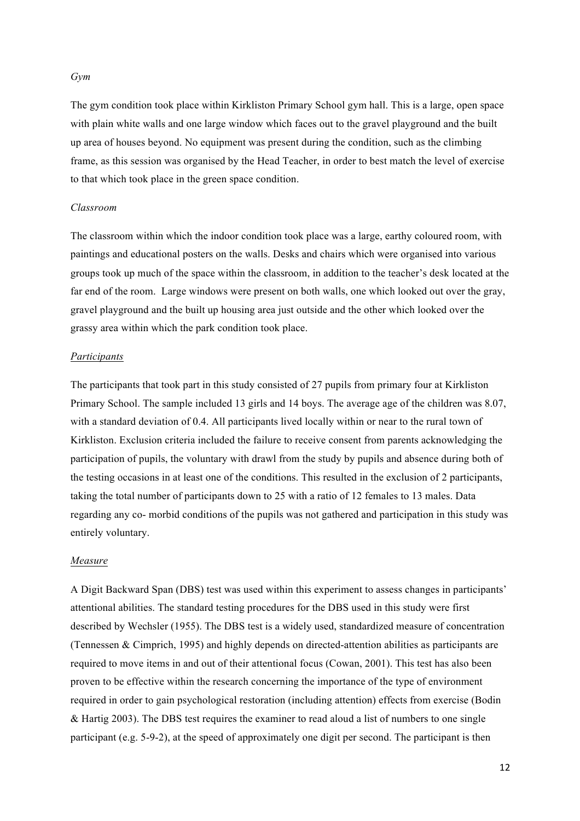*Gym* 

The gym condition took place within Kirkliston Primary School gym hall. This is a large, open space with plain white walls and one large window which faces out to the gravel playground and the built up area of houses beyond. No equipment was present during the condition, such as the climbing frame, as this session was organised by the Head Teacher, in order to best match the level of exercise to that which took place in the green space condition.

#### *Classroom*

The classroom within which the indoor condition took place was a large, earthy coloured room, with paintings and educational posters on the walls. Desks and chairs which were organised into various groups took up much of the space within the classroom, in addition to the teacher's desk located at the far end of the room. Large windows were present on both walls, one which looked out over the gray, gravel playground and the built up housing area just outside and the other which looked over the grassy area within which the park condition took place.

#### *Participants*

The participants that took part in this study consisted of 27 pupils from primary four at Kirkliston Primary School. The sample included 13 girls and 14 boys. The average age of the children was 8.07, with a standard deviation of 0.4. All participants lived locally within or near to the rural town of Kirkliston. Exclusion criteria included the failure to receive consent from parents acknowledging the participation of pupils, the voluntary with drawl from the study by pupils and absence during both of the testing occasions in at least one of the conditions. This resulted in the exclusion of 2 participants, taking the total number of participants down to 25 with a ratio of 12 females to 13 males. Data regarding any co- morbid conditions of the pupils was not gathered and participation in this study was entirely voluntary.

#### *Measure*

A Digit Backward Span (DBS) test was used within this experiment to assess changes in participants' attentional abilities. The standard testing procedures for the DBS used in this study were first described by Wechsler (1955). The DBS test is a widely used, standardized measure of concentration (Tennessen & Cimprich, 1995) and highly depends on directed-attention abilities as participants are required to move items in and out of their attentional focus (Cowan, 2001). This test has also been proven to be effective within the research concerning the importance of the type of environment required in order to gain psychological restoration (including attention) effects from exercise (Bodin & Hartig 2003). The DBS test requires the examiner to read aloud a list of numbers to one single participant (e.g. 5-9-2), at the speed of approximately one digit per second. The participant is then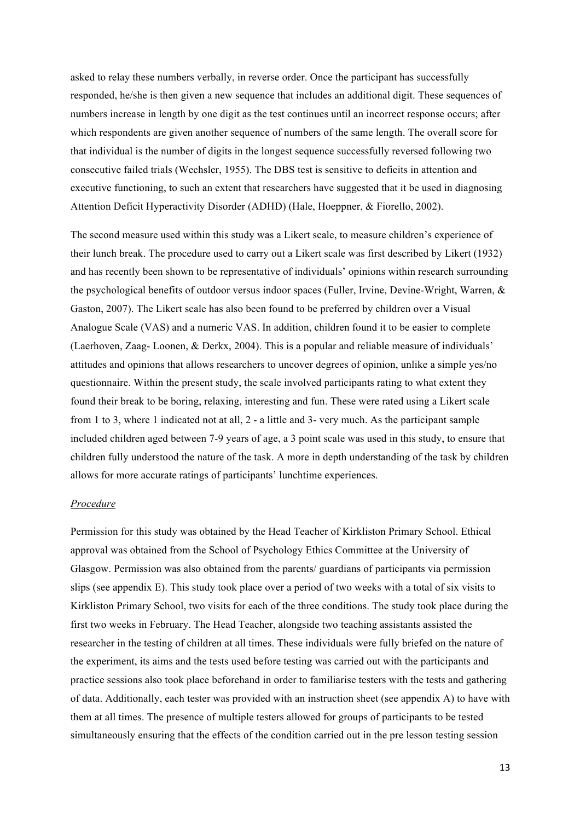asked to relay these numbers verbally, in reverse order. Once the participant has successfully responded, he/she is then given a new sequence that includes an additional digit. These sequences of numbers increase in length by one digit as the test continues until an incorrect response occurs; after which respondents are given another sequence of numbers of the same length. The overall score for that individual is the number of digits in the longest sequence successfully reversed following two consecutive failed trials (Wechsler, 1955). The DBS test is sensitive to deficits in attention and executive functioning, to such an extent that researchers have suggested that it be used in diagnosing Attention Deficit Hyperactivity Disorder (ADHD) (Hale, Hoeppner, & Fiorello, 2002).

The second measure used within this study was a Likert scale, to measure children's experience of their lunch break. The procedure used to carry out a Likert scale was first described by Likert (1932) and has recently been shown to be representative of individuals' opinions within research surrounding the psychological benefits of outdoor versus indoor spaces (Fuller, Irvine, Devine-Wright, Warren, & Gaston, 2007). The Likert scale has also been found to be preferred by children over a Visual Analogue Scale (VAS) and a numeric VAS. In addition, children found it to be easier to complete (Laerhoven, Zaag- Loonen, & Derkx, 2004). This is a popular and reliable measure of individuals' attitudes and opinions that allows researchers to uncover degrees of opinion, unlike a simple yes/no questionnaire. Within the present study, the scale involved participants rating to what extent they found their break to be boring, relaxing, interesting and fun. These were rated using a Likert scale from 1 to 3, where 1 indicated not at all, 2 - a little and 3- very much. As the participant sample included children aged between 7-9 years of age, a 3 point scale was used in this study, to ensure that children fully understood the nature of the task. A more in depth understanding of the task by children allows for more accurate ratings of participants' lunchtime experiences.

### *Procedure*

Permission for this study was obtained by the Head Teacher of Kirkliston Primary School. Ethical approval was obtained from the School of Psychology Ethics Committee at the University of Glasgow. Permission was also obtained from the parents/ guardians of participants via permission slips (see appendix E). This study took place over a period of two weeks with a total of six visits to Kirkliston Primary School, two visits for each of the three conditions. The study took place during the first two weeks in February. The Head Teacher, alongside two teaching assistants assisted the researcher in the testing of children at all times. These individuals were fully briefed on the nature of the experiment, its aims and the tests used before testing was carried out with the participants and practice sessions also took place beforehand in order to familiarise testers with the tests and gathering of data. Additionally, each tester was provided with an instruction sheet (see appendix A) to have with them at all times. The presence of multiple testers allowed for groups of participants to be tested simultaneously ensuring that the effects of the condition carried out in the pre lesson testing session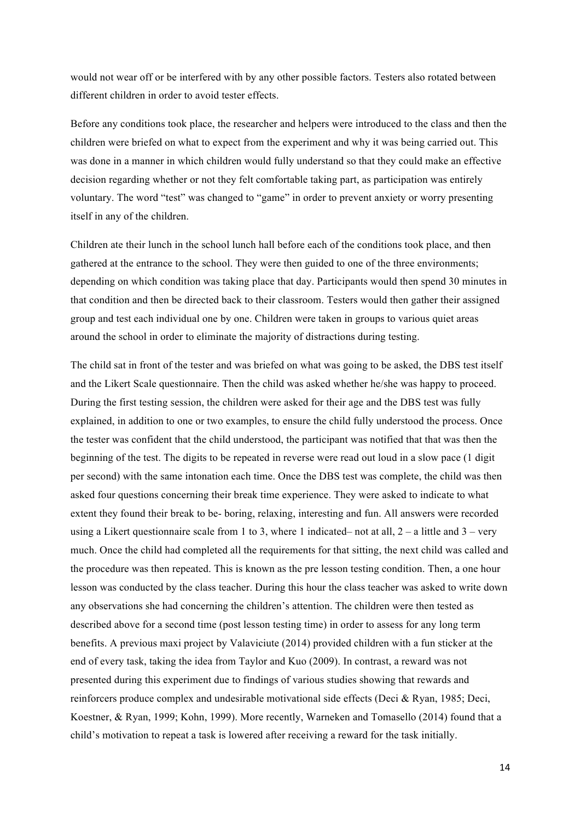would not wear off or be interfered with by any other possible factors. Testers also rotated between different children in order to avoid tester effects.

Before any conditions took place, the researcher and helpers were introduced to the class and then the children were briefed on what to expect from the experiment and why it was being carried out. This was done in a manner in which children would fully understand so that they could make an effective decision regarding whether or not they felt comfortable taking part, as participation was entirely voluntary. The word "test" was changed to "game" in order to prevent anxiety or worry presenting itself in any of the children.

Children ate their lunch in the school lunch hall before each of the conditions took place, and then gathered at the entrance to the school. They were then guided to one of the three environments; depending on which condition was taking place that day. Participants would then spend 30 minutes in that condition and then be directed back to their classroom. Testers would then gather their assigned group and test each individual one by one. Children were taken in groups to various quiet areas around the school in order to eliminate the majority of distractions during testing.

The child sat in front of the tester and was briefed on what was going to be asked, the DBS test itself and the Likert Scale questionnaire. Then the child was asked whether he/she was happy to proceed. During the first testing session, the children were asked for their age and the DBS test was fully explained, in addition to one or two examples, to ensure the child fully understood the process. Once the tester was confident that the child understood, the participant was notified that that was then the beginning of the test. The digits to be repeated in reverse were read out loud in a slow pace (1 digit per second) with the same intonation each time. Once the DBS test was complete, the child was then asked four questions concerning their break time experience. They were asked to indicate to what extent they found their break to be- boring, relaxing, interesting and fun. All answers were recorded using a Likert questionnaire scale from 1 to 3, where 1 indicated– not at all,  $2 - a$  little and  $3 - \text{very}$ much. Once the child had completed all the requirements for that sitting, the next child was called and the procedure was then repeated. This is known as the pre lesson testing condition. Then, a one hour lesson was conducted by the class teacher. During this hour the class teacher was asked to write down any observations she had concerning the children's attention. The children were then tested as described above for a second time (post lesson testing time) in order to assess for any long term benefits. A previous maxi project by Valaviciute (2014) provided children with a fun sticker at the end of every task, taking the idea from Taylor and Kuo (2009). In contrast, a reward was not presented during this experiment due to findings of various studies showing that rewards and reinforcers produce complex and undesirable motivational side effects (Deci & Ryan, 1985; Deci, Koestner, & Ryan, 1999; Kohn, 1999). More recently, Warneken and Tomasello (2014) found that a child's motivation to repeat a task is lowered after receiving a reward for the task initially.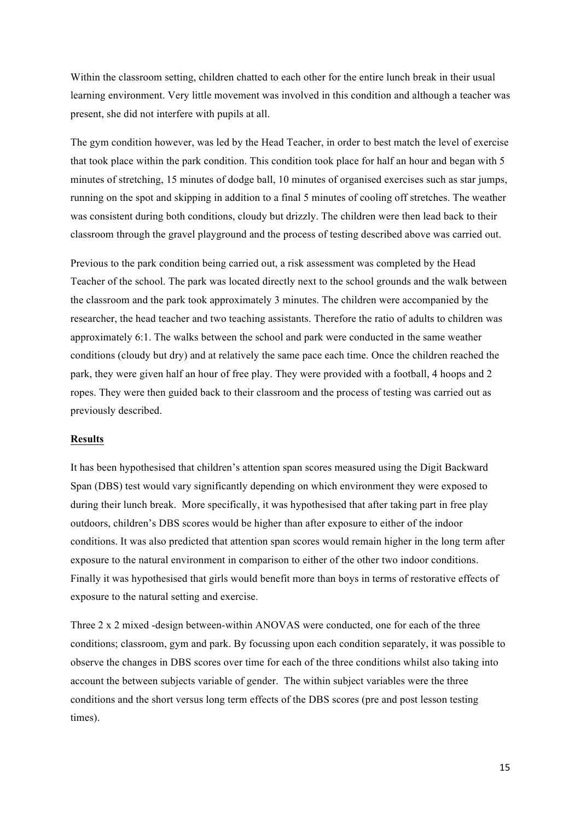Within the classroom setting, children chatted to each other for the entire lunch break in their usual learning environment. Very little movement was involved in this condition and although a teacher was present, she did not interfere with pupils at all.

The gym condition however, was led by the Head Teacher, in order to best match the level of exercise that took place within the park condition. This condition took place for half an hour and began with 5 minutes of stretching, 15 minutes of dodge ball, 10 minutes of organised exercises such as star jumps, running on the spot and skipping in addition to a final 5 minutes of cooling off stretches. The weather was consistent during both conditions, cloudy but drizzly. The children were then lead back to their classroom through the gravel playground and the process of testing described above was carried out.

Previous to the park condition being carried out, a risk assessment was completed by the Head Teacher of the school. The park was located directly next to the school grounds and the walk between the classroom and the park took approximately 3 minutes. The children were accompanied by the researcher, the head teacher and two teaching assistants. Therefore the ratio of adults to children was approximately 6:1. The walks between the school and park were conducted in the same weather conditions (cloudy but dry) and at relatively the same pace each time. Once the children reached the park, they were given half an hour of free play. They were provided with a football, 4 hoops and 2 ropes. They were then guided back to their classroom and the process of testing was carried out as previously described.

# **Results**

It has been hypothesised that children's attention span scores measured using the Digit Backward Span (DBS) test would vary significantly depending on which environment they were exposed to during their lunch break. More specifically, it was hypothesised that after taking part in free play outdoors, children's DBS scores would be higher than after exposure to either of the indoor conditions. It was also predicted that attention span scores would remain higher in the long term after exposure to the natural environment in comparison to either of the other two indoor conditions. Finally it was hypothesised that girls would benefit more than boys in terms of restorative effects of exposure to the natural setting and exercise.

Three 2 x 2 mixed -design between-within ANOVAS were conducted, one for each of the three conditions; classroom, gym and park. By focussing upon each condition separately, it was possible to observe the changes in DBS scores over time for each of the three conditions whilst also taking into account the between subjects variable of gender. The within subject variables were the three conditions and the short versus long term effects of the DBS scores (pre and post lesson testing times).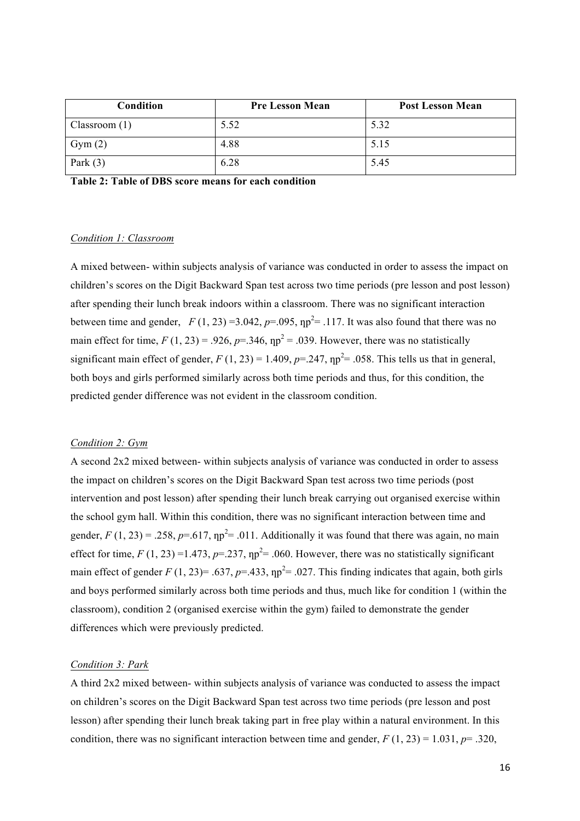| Condition       | <b>Pre Lesson Mean</b> | <b>Post Lesson Mean</b> |  |  |  |  |
|-----------------|------------------------|-------------------------|--|--|--|--|
| Classroom $(1)$ | 5.52                   | 5.32                    |  |  |  |  |
| Gym(2)          | 4.88                   | 5.15                    |  |  |  |  |
| Park $(3)$      | 6.28                   | 5.45                    |  |  |  |  |

**Table 2: Table of DBS score means for each condition** 

### *Condition 1: Classroom*

A mixed between- within subjects analysis of variance was conducted in order to assess the impact on children's scores on the Digit Backward Span test across two time periods (pre lesson and post lesson) after spending their lunch break indoors within a classroom. There was no significant interaction between time and gender,  $F(1, 23) = 3.042$ ,  $p = .095$ ,  $np^2 = .117$ . It was also found that there was no main effect for time,  $F(1, 23) = .926$ ,  $p = .346$ ,  $np^2 = .039$ . However, there was no statistically significant main effect of gender,  $F(1, 23) = 1.409$ ,  $p = 0.247$ ,  $np^2 = 0.058$ . This tells us that in general, both boys and girls performed similarly across both time periods and thus, for this condition, the predicted gender difference was not evident in the classroom condition.

#### *Condition 2: Gym*

A second 2x2 mixed between- within subjects analysis of variance was conducted in order to assess the impact on children's scores on the Digit Backward Span test across two time periods (post intervention and post lesson) after spending their lunch break carrying out organised exercise within the school gym hall. Within this condition, there was no significant interaction between time and gender,  $F(1, 23) = 0.258$ ,  $p = 0.617$ ,  $np^2 = 0.011$ . Additionally it was found that there was again, no main effect for time,  $F(1, 23) = 1.473$ ,  $p = 0.237$ ,  $np^2 = 0.060$ . However, there was no statistically significant main effect of gender *F* (1, 23) = .637,  $p=$  .433,  $np^2$  = .027. This finding indicates that again, both girls and boys performed similarly across both time periods and thus, much like for condition 1 (within the classroom), condition 2 (organised exercise within the gym) failed to demonstrate the gender differences which were previously predicted.

# *Condition 3: Park*

A third 2x2 mixed between- within subjects analysis of variance was conducted to assess the impact on children's scores on the Digit Backward Span test across two time periods (pre lesson and post lesson) after spending their lunch break taking part in free play within a natural environment. In this condition, there was no significant interaction between time and gender,  $F(1, 23) = 1.031$ ,  $p = .320$ ,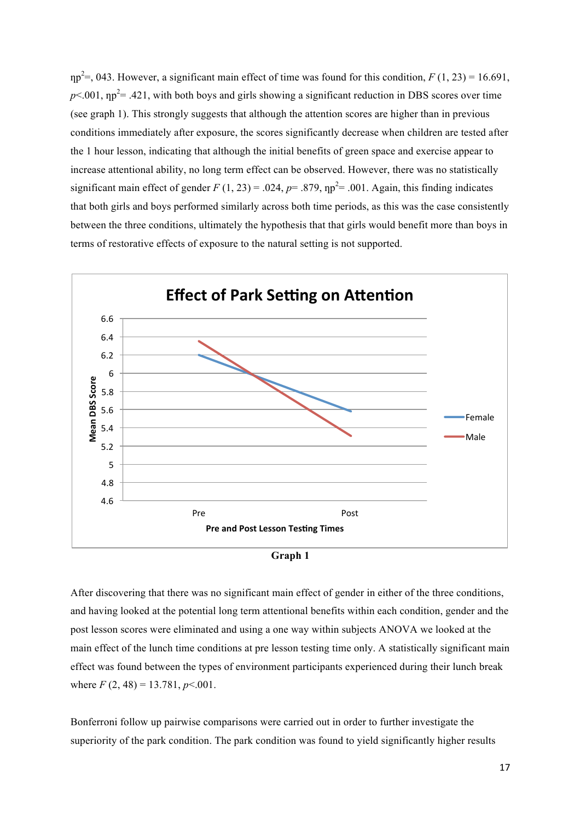$np^2 =$ , 043. However, a significant main effect of time was found for this condition,  $F(1, 23) = 16.691$ ,  $p$ <.001,  $np^2$  = .421, with both boys and girls showing a significant reduction in DBS scores over time (see graph 1). This strongly suggests that although the attention scores are higher than in previous conditions immediately after exposure, the scores significantly decrease when children are tested after the 1 hour lesson, indicating that although the initial benefits of green space and exercise appear to increase attentional ability, no long term effect can be observed. However, there was no statistically significant main effect of gender  $F(1, 23) = .024$ ,  $p = .879$ ,  $np^2 = .001$ . Again, this finding indicates that both girls and boys performed similarly across both time periods, as this was the case consistently between the three conditions, ultimately the hypothesis that that girls would benefit more than boys in terms of restorative effects of exposure to the natural setting is not supported.





After discovering that there was no significant main effect of gender in either of the three conditions, and having looked at the potential long term attentional benefits within each condition, gender and the post lesson scores were eliminated and using a one way within subjects ANOVA we looked at the main effect of the lunch time conditions at pre lesson testing time only. A statistically significant main effect was found between the types of environment participants experienced during their lunch break where  $F(2, 48) = 13.781, p < 0.001$ .

Bonferroni follow up pairwise comparisons were carried out in order to further investigate the superiority of the park condition. The park condition was found to yield significantly higher results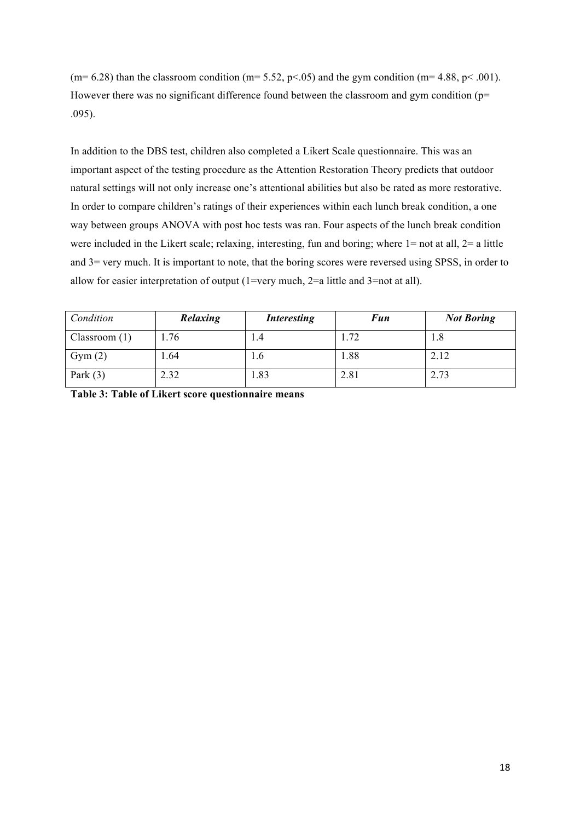(m= 6.28) than the classroom condition (m= 5.52, p<.05) and the gym condition (m= 4.88, p<.001). However there was no significant difference found between the classroom and gym condition ( $p=$ .095).

In addition to the DBS test, children also completed a Likert Scale questionnaire. This was an important aspect of the testing procedure as the Attention Restoration Theory predicts that outdoor natural settings will not only increase one's attentional abilities but also be rated as more restorative. In order to compare children's ratings of their experiences within each lunch break condition, a one way between groups ANOVA with post hoc tests was ran. Four aspects of the lunch break condition were included in the Likert scale; relaxing, interesting, fun and boring; where  $1=$  not at all,  $2=$  a little and 3= very much. It is important to note, that the boring scores were reversed using SPSS, in order to allow for easier interpretation of output (1=very much, 2=a little and 3=not at all).

| Condition    | Relaxing | <b>Interesting</b> | <b>Fun</b> | <b>Not Boring</b> |
|--------------|----------|--------------------|------------|-------------------|
| Classroom(1) | .76      | I.4                | 1.72       | 1.8               |
| Gym(2)       | 1.64     | 1.0                | 1.88       | 2.12              |
| Park $(3)$   | 2.32     | l.83               | 2.81       | 2.73              |

**Table 3: Table of Likert score questionnaire means**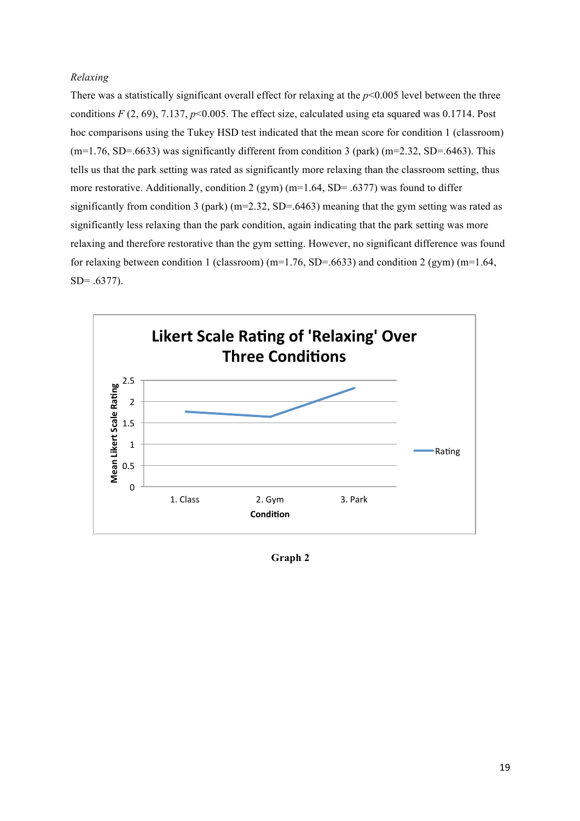# *Relaxing*

There was a statistically significant overall effect for relaxing at the  $p<0.005$  level between the three conditions  $F(2, 69)$ , 7.137,  $p<0.005$ . The effect size, calculated using eta squared was 0.1714. Post hoc comparisons using the Tukey HSD test indicated that the mean score for condition 1 (classroom)  $(m=1.76, SD=0.6633)$  was significantly different from condition 3 (park)  $(m=2.32, SD=0.6463)$ . This tells us that the park setting was rated as significantly more relaxing than the classroom setting, thus more restorative. Additionally, condition 2 (gym) ( $m=1.64$ , SD= .6377) was found to differ significantly from condition 3 (park) ( $m=2.32$ , SD=.6463) meaning that the gym setting was rated as significantly less relaxing than the park condition, again indicating that the park setting was more relaxing and therefore restorative than the gym setting. However, no significant difference was found for relaxing between condition 1 (classroom) (m=1.76, SD=.6633) and condition 2 (gym) (m=1.64, SD= .6377).



**Graph 2**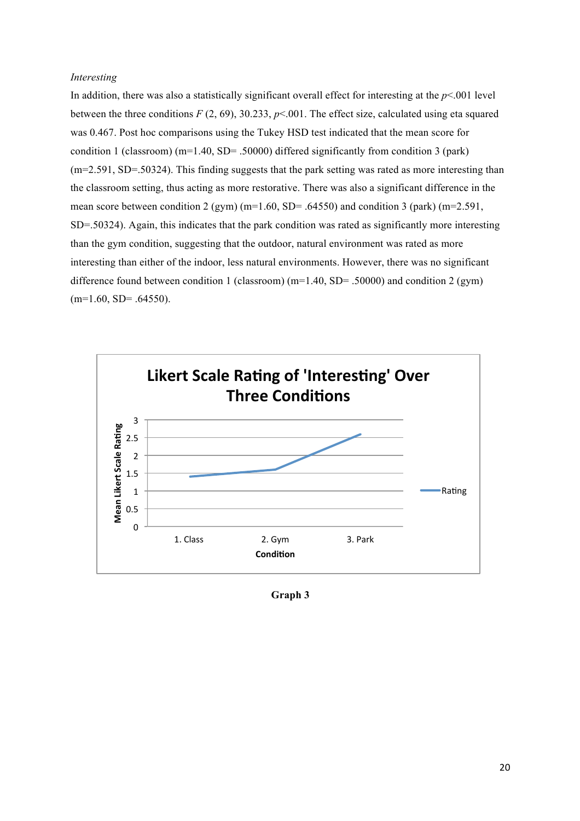#### *Interesting*

In addition, there was also a statistically significant overall effect for interesting at the *p*<.001 level between the three conditions  $F(2, 69)$ , 30.233,  $p<0.001$ . The effect size, calculated using eta squared was 0.467. Post hoc comparisons using the Tukey HSD test indicated that the mean score for condition 1 (classroom) ( $m=1.40$ , SD= .50000) differed significantly from condition 3 (park) (m=2.591, SD=.50324). This finding suggests that the park setting was rated as more interesting than the classroom setting, thus acting as more restorative. There was also a significant difference in the mean score between condition 2 (gym) (m=1.60, SD= .64550) and condition 3 (park) (m=2.591, SD=.50324). Again, this indicates that the park condition was rated as significantly more interesting than the gym condition, suggesting that the outdoor, natural environment was rated as more interesting than either of the indoor, less natural environments. However, there was no significant difference found between condition 1 (classroom) ( $m=1.40$ , SD= .50000) and condition 2 (gym)  $(m=1.60, SD=.64550).$ 



**Graph 3**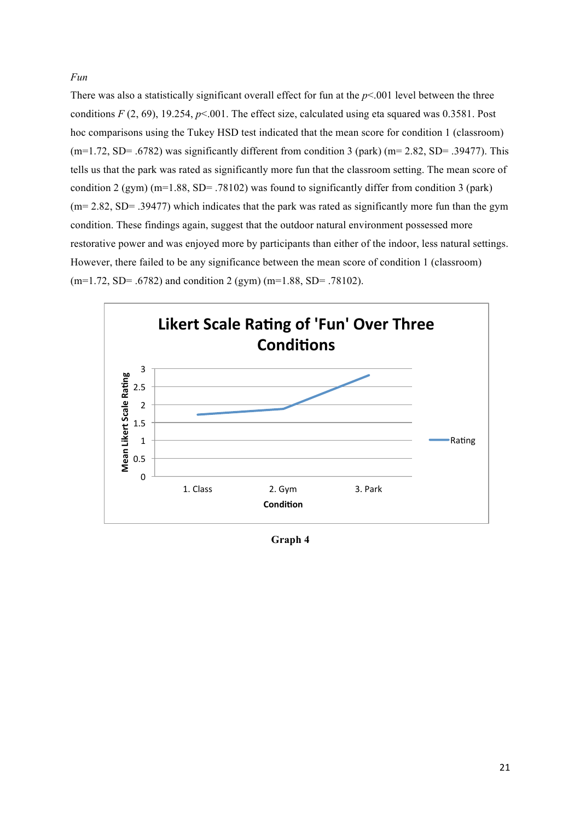# *Fun*

There was also a statistically significant overall effect for fun at the  $p<.001$  level between the three conditions  $F(2, 69)$ , 19.254,  $p<0.01$ . The effect size, calculated using eta squared was 0.3581. Post hoc comparisons using the Tukey HSD test indicated that the mean score for condition 1 (classroom)  $(m=1.72, SD = .6782)$  was significantly different from condition 3 (park) ( $m=2.82$ ,  $SD= .39477$ ). This tells us that the park was rated as significantly more fun that the classroom setting. The mean score of condition 2 (gym) (m=1.88, SD= .78102) was found to significantly differ from condition 3 (park) (m= 2.82, SD= .39477) which indicates that the park was rated as significantly more fun than the gym condition. These findings again, suggest that the outdoor natural environment possessed more restorative power and was enjoyed more by participants than either of the indoor, less natural settings. However, there failed to be any significance between the mean score of condition 1 (classroom)  $(m=1.72, SD= .6782)$  and condition 2 (gym)  $(m=1.88, SD= .78102)$ .



**Graph 4**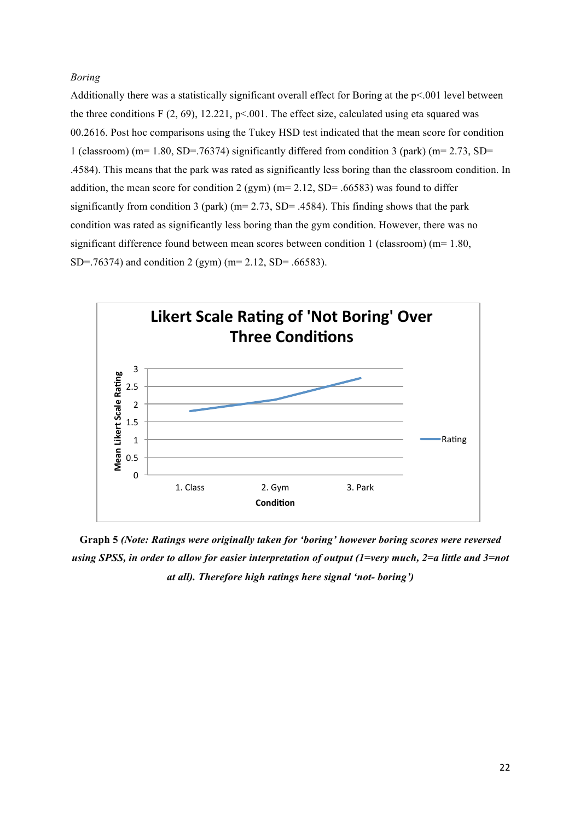# *Boring*

Additionally there was a statistically significant overall effect for Boring at the p<.001 level between the three conditions  $F(2, 69)$ , 12.221, p< 001. The effect size, calculated using eta squared was 00.2616. Post hoc comparisons using the Tukey HSD test indicated that the mean score for condition 1 (classroom) (m= 1.80, SD=.76374) significantly differed from condition 3 (park) (m= 2.73, SD= .4584). This means that the park was rated as significantly less boring than the classroom condition. In addition, the mean score for condition 2 (gym) ( $m=2.12$ , SD= .66583) was found to differ significantly from condition 3 (park) ( $m=$  2.73, SD= .4584). This finding shows that the park condition was rated as significantly less boring than the gym condition. However, there was no significant difference found between mean scores between condition 1 (classroom) (m= 1.80, SD=.76374) and condition 2 (gym) (m= 2.12, SD= .66583).



**Graph 5** *(Note: Ratings were originally taken for 'boring' however boring scores were reversed using SPSS, in order to allow for easier interpretation of output (1=very much, 2=a little and 3=not at all). Therefore high ratings here signal 'not- boring')*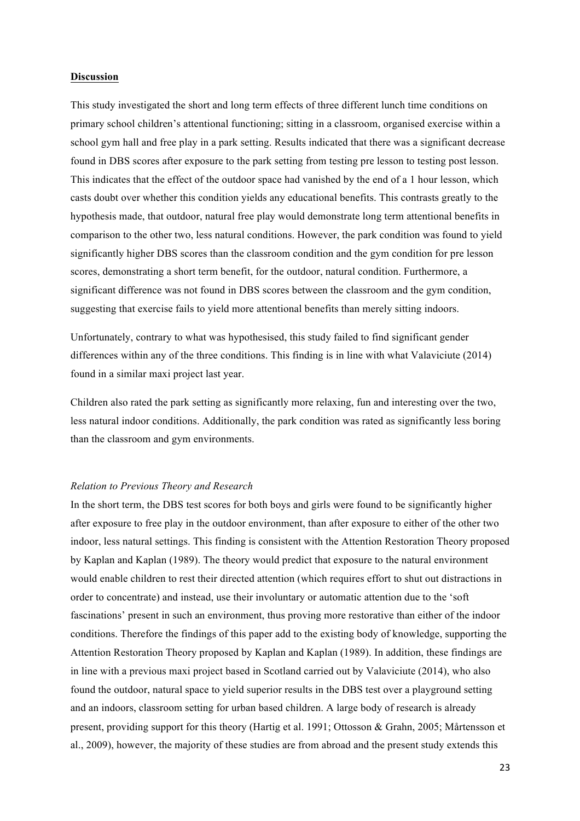#### **Discussion**

This study investigated the short and long term effects of three different lunch time conditions on primary school children's attentional functioning; sitting in a classroom, organised exercise within a school gym hall and free play in a park setting. Results indicated that there was a significant decrease found in DBS scores after exposure to the park setting from testing pre lesson to testing post lesson. This indicates that the effect of the outdoor space had vanished by the end of a 1 hour lesson, which casts doubt over whether this condition yields any educational benefits. This contrasts greatly to the hypothesis made, that outdoor, natural free play would demonstrate long term attentional benefits in comparison to the other two, less natural conditions. However, the park condition was found to yield significantly higher DBS scores than the classroom condition and the gym condition for pre lesson scores, demonstrating a short term benefit, for the outdoor, natural condition. Furthermore, a significant difference was not found in DBS scores between the classroom and the gym condition, suggesting that exercise fails to yield more attentional benefits than merely sitting indoors.

Unfortunately, contrary to what was hypothesised, this study failed to find significant gender differences within any of the three conditions. This finding is in line with what Valaviciute (2014) found in a similar maxi project last year.

Children also rated the park setting as significantly more relaxing, fun and interesting over the two, less natural indoor conditions. Additionally, the park condition was rated as significantly less boring than the classroom and gym environments.

#### *Relation to Previous Theory and Research*

In the short term, the DBS test scores for both boys and girls were found to be significantly higher after exposure to free play in the outdoor environment, than after exposure to either of the other two indoor, less natural settings. This finding is consistent with the Attention Restoration Theory proposed by Kaplan and Kaplan (1989). The theory would predict that exposure to the natural environment would enable children to rest their directed attention (which requires effort to shut out distractions in order to concentrate) and instead, use their involuntary or automatic attention due to the 'soft fascinations' present in such an environment, thus proving more restorative than either of the indoor conditions. Therefore the findings of this paper add to the existing body of knowledge, supporting the Attention Restoration Theory proposed by Kaplan and Kaplan (1989). In addition, these findings are in line with a previous maxi project based in Scotland carried out by Valaviciute (2014), who also found the outdoor, natural space to yield superior results in the DBS test over a playground setting and an indoors, classroom setting for urban based children. A large body of research is already present, providing support for this theory (Hartig et al. 1991; Ottosson & Grahn, 2005; Mårtensson et al., 2009), however, the majority of these studies are from abroad and the present study extends this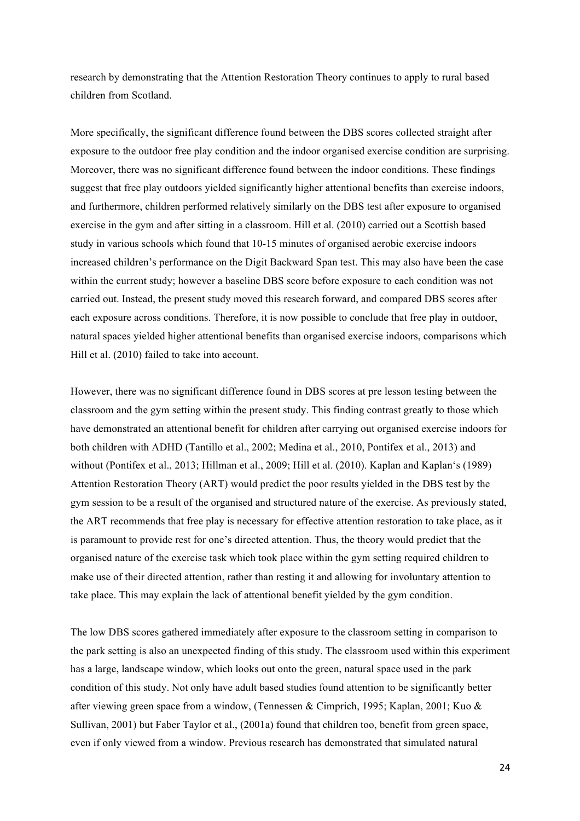research by demonstrating that the Attention Restoration Theory continues to apply to rural based children from Scotland.

More specifically, the significant difference found between the DBS scores collected straight after exposure to the outdoor free play condition and the indoor organised exercise condition are surprising. Moreover, there was no significant difference found between the indoor conditions. These findings suggest that free play outdoors yielded significantly higher attentional benefits than exercise indoors, and furthermore, children performed relatively similarly on the DBS test after exposure to organised exercise in the gym and after sitting in a classroom. Hill et al. (2010) carried out a Scottish based study in various schools which found that 10-15 minutes of organised aerobic exercise indoors increased children's performance on the Digit Backward Span test. This may also have been the case within the current study; however a baseline DBS score before exposure to each condition was not carried out. Instead, the present study moved this research forward, and compared DBS scores after each exposure across conditions. Therefore, it is now possible to conclude that free play in outdoor, natural spaces yielded higher attentional benefits than organised exercise indoors, comparisons which Hill et al. (2010) failed to take into account.

However, there was no significant difference found in DBS scores at pre lesson testing between the classroom and the gym setting within the present study. This finding contrast greatly to those which have demonstrated an attentional benefit for children after carrying out organised exercise indoors for both children with ADHD (Tantillo et al., 2002; Medina et al., 2010, Pontifex et al., 2013) and without (Pontifex et al., 2013; Hillman et al., 2009; Hill et al. (2010). Kaplan and Kaplan's (1989) Attention Restoration Theory (ART) would predict the poor results yielded in the DBS test by the gym session to be a result of the organised and structured nature of the exercise. As previously stated, the ART recommends that free play is necessary for effective attention restoration to take place, as it is paramount to provide rest for one's directed attention. Thus, the theory would predict that the organised nature of the exercise task which took place within the gym setting required children to make use of their directed attention, rather than resting it and allowing for involuntary attention to take place. This may explain the lack of attentional benefit yielded by the gym condition.

The low DBS scores gathered immediately after exposure to the classroom setting in comparison to the park setting is also an unexpected finding of this study. The classroom used within this experiment has a large, landscape window, which looks out onto the green, natural space used in the park condition of this study. Not only have adult based studies found attention to be significantly better after viewing green space from a window, (Tennessen & Cimprich, 1995; Kaplan, 2001; Kuo & Sullivan, 2001) but Faber Taylor et al., (2001a) found that children too, benefit from green space, even if only viewed from a window. Previous research has demonstrated that simulated natural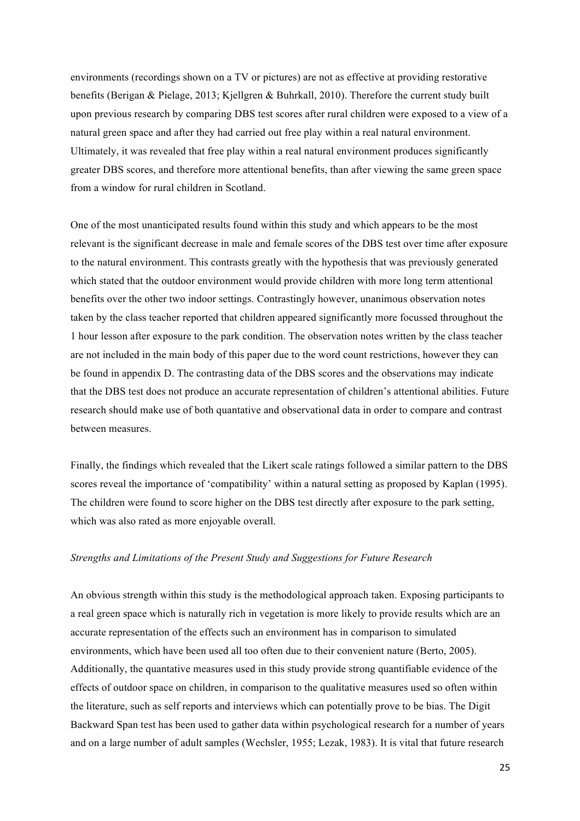environments (recordings shown on a TV or pictures) are not as effective at providing restorative benefits (Berigan & Pielage, 2013; Kjellgren & Buhrkall, 2010). Therefore the current study built upon previous research by comparing DBS test scores after rural children were exposed to a view of a natural green space and after they had carried out free play within a real natural environment. Ultimately, it was revealed that free play within a real natural environment produces significantly greater DBS scores, and therefore more attentional benefits, than after viewing the same green space from a window for rural children in Scotland.

One of the most unanticipated results found within this study and which appears to be the most relevant is the significant decrease in male and female scores of the DBS test over time after exposure to the natural environment. This contrasts greatly with the hypothesis that was previously generated which stated that the outdoor environment would provide children with more long term attentional benefits over the other two indoor settings. Contrastingly however, unanimous observation notes taken by the class teacher reported that children appeared significantly more focussed throughout the 1 hour lesson after exposure to the park condition. The observation notes written by the class teacher are not included in the main body of this paper due to the word count restrictions, however they can be found in appendix D. The contrasting data of the DBS scores and the observations may indicate that the DBS test does not produce an accurate representation of children's attentional abilities. Future research should make use of both quantative and observational data in order to compare and contrast between measures.

Finally, the findings which revealed that the Likert scale ratings followed a similar pattern to the DBS scores reveal the importance of 'compatibility' within a natural setting as proposed by Kaplan (1995). The children were found to score higher on the DBS test directly after exposure to the park setting, which was also rated as more enjoyable overall.

# *Strengths and Limitations of the Present Study and Suggestions for Future Research*

An obvious strength within this study is the methodological approach taken. Exposing participants to a real green space which is naturally rich in vegetation is more likely to provide results which are an accurate representation of the effects such an environment has in comparison to simulated environments, which have been used all too often due to their convenient nature (Berto, 2005). Additionally, the quantative measures used in this study provide strong quantifiable evidence of the effects of outdoor space on children, in comparison to the qualitative measures used so often within the literature, such as self reports and interviews which can potentially prove to be bias. The Digit Backward Span test has been used to gather data within psychological research for a number of years and on a large number of adult samples (Wechsler, 1955; Lezak, 1983). It is vital that future research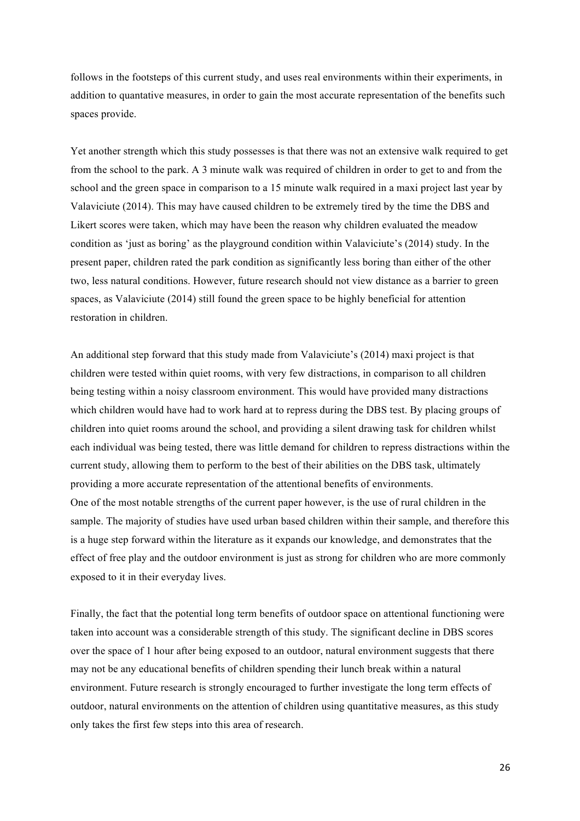follows in the footsteps of this current study, and uses real environments within their experiments, in addition to quantative measures, in order to gain the most accurate representation of the benefits such spaces provide.

Yet another strength which this study possesses is that there was not an extensive walk required to get from the school to the park. A 3 minute walk was required of children in order to get to and from the school and the green space in comparison to a 15 minute walk required in a maxi project last year by Valaviciute (2014). This may have caused children to be extremely tired by the time the DBS and Likert scores were taken, which may have been the reason why children evaluated the meadow condition as 'just as boring' as the playground condition within Valaviciute's (2014) study. In the present paper, children rated the park condition as significantly less boring than either of the other two, less natural conditions. However, future research should not view distance as a barrier to green spaces, as Valaviciute (2014) still found the green space to be highly beneficial for attention restoration in children.

An additional step forward that this study made from Valaviciute's (2014) maxi project is that children were tested within quiet rooms, with very few distractions, in comparison to all children being testing within a noisy classroom environment. This would have provided many distractions which children would have had to work hard at to repress during the DBS test. By placing groups of children into quiet rooms around the school, and providing a silent drawing task for children whilst each individual was being tested, there was little demand for children to repress distractions within the current study, allowing them to perform to the best of their abilities on the DBS task, ultimately providing a more accurate representation of the attentional benefits of environments. One of the most notable strengths of the current paper however, is the use of rural children in the sample. The majority of studies have used urban based children within their sample, and therefore this is a huge step forward within the literature as it expands our knowledge, and demonstrates that the effect of free play and the outdoor environment is just as strong for children who are more commonly exposed to it in their everyday lives.

Finally, the fact that the potential long term benefits of outdoor space on attentional functioning were taken into account was a considerable strength of this study. The significant decline in DBS scores over the space of 1 hour after being exposed to an outdoor, natural environment suggests that there may not be any educational benefits of children spending their lunch break within a natural environment. Future research is strongly encouraged to further investigate the long term effects of outdoor, natural environments on the attention of children using quantitative measures, as this study only takes the first few steps into this area of research.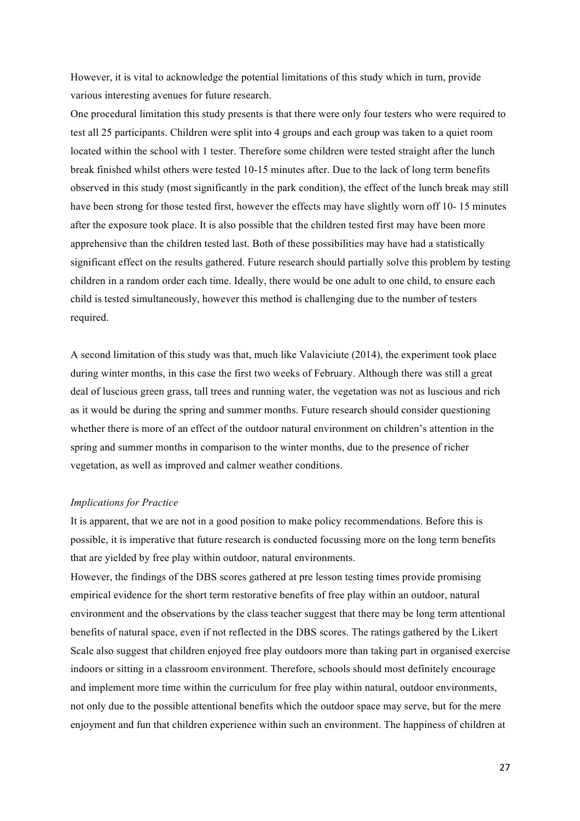However, it is vital to acknowledge the potential limitations of this study which in turn, provide various interesting avenues for future research.

One procedural limitation this study presents is that there were only four testers who were required to test all 25 participants. Children were split into 4 groups and each group was taken to a quiet room located within the school with 1 tester. Therefore some children were tested straight after the lunch break finished whilst others were tested 10-15 minutes after. Due to the lack of long term benefits observed in this study (most significantly in the park condition), the effect of the lunch break may still have been strong for those tested first, however the effects may have slightly worn off 10- 15 minutes after the exposure took place. It is also possible that the children tested first may have been more apprehensive than the children tested last. Both of these possibilities may have had a statistically significant effect on the results gathered. Future research should partially solve this problem by testing children in a random order each time. Ideally, there would be one adult to one child, to ensure each child is tested simultaneously, however this method is challenging due to the number of testers required.

A second limitation of this study was that, much like Valaviciute (2014), the experiment took place during winter months, in this case the first two weeks of February. Although there was still a great deal of luscious green grass, tall trees and running water, the vegetation was not as luscious and rich as it would be during the spring and summer months. Future research should consider questioning whether there is more of an effect of the outdoor natural environment on children's attention in the spring and summer months in comparison to the winter months, due to the presence of richer vegetation, as well as improved and calmer weather conditions.

#### *Implications for Practice*

It is apparent, that we are not in a good position to make policy recommendations. Before this is possible, it is imperative that future research is conducted focussing more on the long term benefits that are yielded by free play within outdoor, natural environments.

However, the findings of the DBS scores gathered at pre lesson testing times provide promising empirical evidence for the short term restorative benefits of free play within an outdoor, natural environment and the observations by the class teacher suggest that there may be long term attentional benefits of natural space, even if not reflected in the DBS scores. The ratings gathered by the Likert Scale also suggest that children enjoyed free play outdoors more than taking part in organised exercise indoors or sitting in a classroom environment. Therefore, schools should most definitely encourage and implement more time within the curriculum for free play within natural, outdoor environments, not only due to the possible attentional benefits which the outdoor space may serve, but for the mere enjoyment and fun that children experience within such an environment. The happiness of children at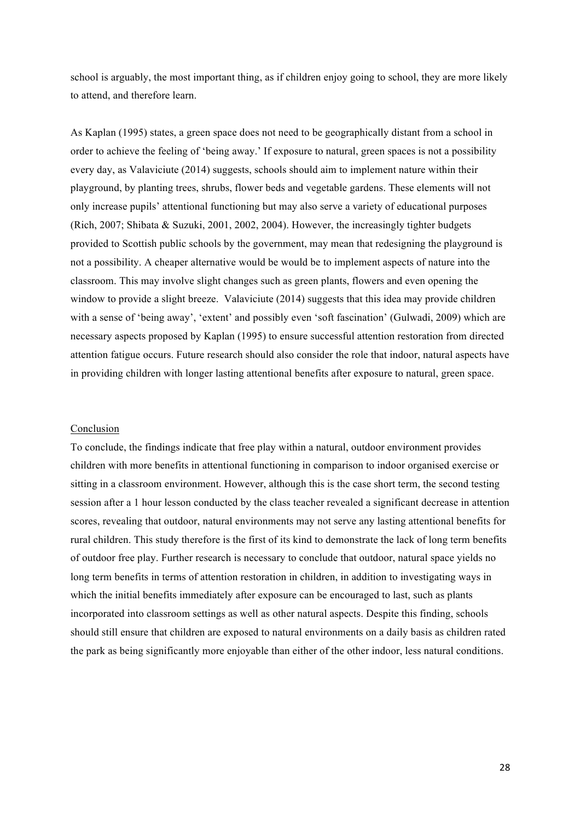school is arguably, the most important thing, as if children enjoy going to school, they are more likely to attend, and therefore learn.

As Kaplan (1995) states, a green space does not need to be geographically distant from a school in order to achieve the feeling of 'being away.' If exposure to natural, green spaces is not a possibility every day, as Valaviciute (2014) suggests, schools should aim to implement nature within their playground, by planting trees, shrubs, flower beds and vegetable gardens. These elements will not only increase pupils' attentional functioning but may also serve a variety of educational purposes (Rich, 2007; Shibata & Suzuki, 2001, 2002, 2004). However, the increasingly tighter budgets provided to Scottish public schools by the government, may mean that redesigning the playground is not a possibility. A cheaper alternative would be would be to implement aspects of nature into the classroom. This may involve slight changes such as green plants, flowers and even opening the window to provide a slight breeze. Valaviciute (2014) suggests that this idea may provide children with a sense of 'being away', 'extent' and possibly even 'soft fascination' (Gulwadi, 2009) which are necessary aspects proposed by Kaplan (1995) to ensure successful attention restoration from directed attention fatigue occurs. Future research should also consider the role that indoor, natural aspects have in providing children with longer lasting attentional benefits after exposure to natural, green space.

#### Conclusion

To conclude, the findings indicate that free play within a natural, outdoor environment provides children with more benefits in attentional functioning in comparison to indoor organised exercise or sitting in a classroom environment. However, although this is the case short term, the second testing session after a 1 hour lesson conducted by the class teacher revealed a significant decrease in attention scores, revealing that outdoor, natural environments may not serve any lasting attentional benefits for rural children. This study therefore is the first of its kind to demonstrate the lack of long term benefits of outdoor free play. Further research is necessary to conclude that outdoor, natural space yields no long term benefits in terms of attention restoration in children, in addition to investigating ways in which the initial benefits immediately after exposure can be encouraged to last, such as plants incorporated into classroom settings as well as other natural aspects. Despite this finding, schools should still ensure that children are exposed to natural environments on a daily basis as children rated the park as being significantly more enjoyable than either of the other indoor, less natural conditions.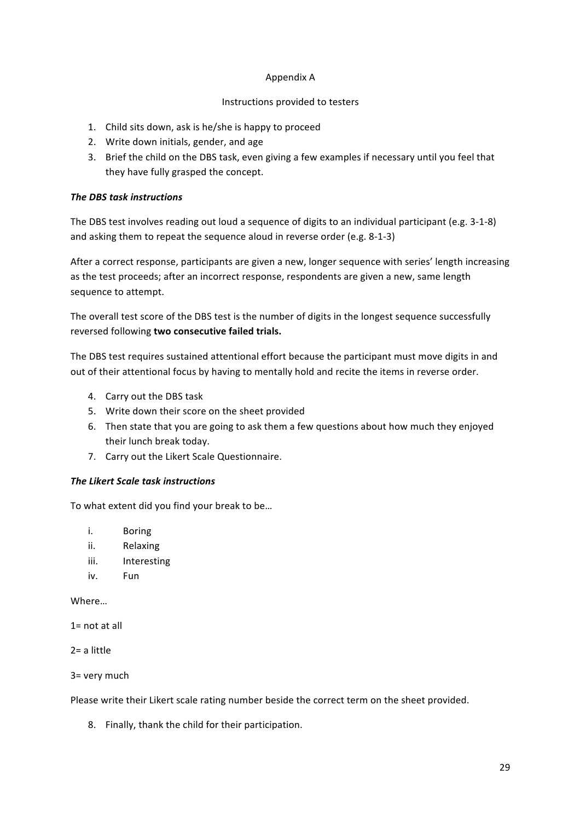# Appendix"A

# Instructions provided to testers

- 1. Child sits down, ask is he/she is happy to proceed
- 2. Write down initials, gender, and age
- 3. Brief the child on the DBS task, even giving a few examples if necessary until you feel that they have fully grasped the concept.

# *The DBS task instructions*

The DBS test involves reading out loud a sequence of digits to an individual participant (e.g. 3-1-8) and asking them to repeat the sequence aloud in reverse order (e.g. 8-1-3)

After a correct response, participants are given a new, longer sequence with series' length increasing as the test proceeds; after an incorrect response, respondents are given a new, same length sequence to attempt.

The overall test score of the DBS test is the number of digits in the longest sequence successfully reversed following two consecutive failed trials.

The DBS test requires sustained attentional effort because the participant must move digits in and out of their attentional focus by having to mentally hold and recite the items in reverse order.

- 4. Carry out the DBS task
- 5. Write down their score on the sheet provided
- 6. Then state that you are going to ask them a few questions about how much they enjoyed their lunch break today.
- 7. Carry out the Likert Scale Questionnaire.

# *The Likert Scale task instructions*

To what extent did you find your break to be...

- i. Boring
- ii. Relaxing
- iii. Interesting
- iv. Fun

Where…

 $1 = not at all$ 

 $2=$  a little

 $3=$  very much

Please write their Likert scale rating number beside the correct term on the sheet provided.

8. Finally, thank the child for their participation.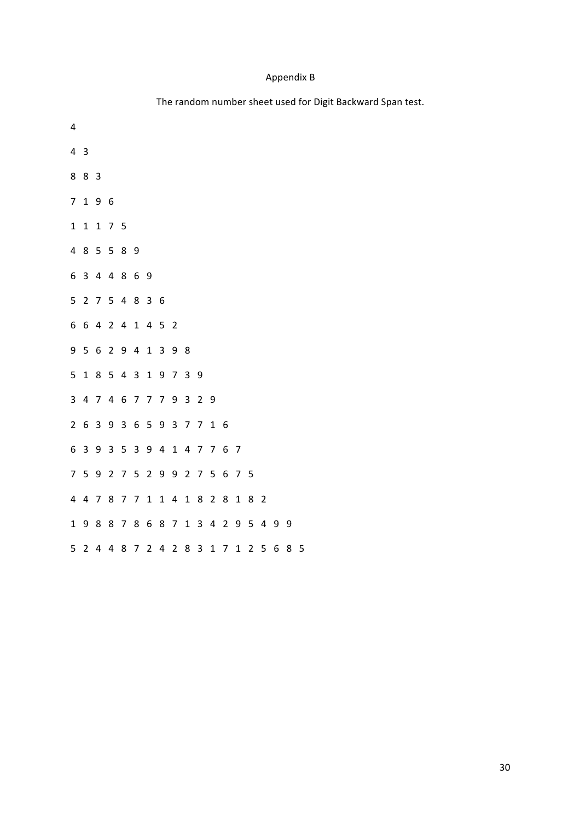# Appendix"B

# The random number sheet used for Digit Backward Span test.

| 4              |                         |                         |                         |                |                 |                |       |                |                         |                  |             |                     |                |                |                |   |   |   |
|----------------|-------------------------|-------------------------|-------------------------|----------------|-----------------|----------------|-------|----------------|-------------------------|------------------|-------------|---------------------|----------------|----------------|----------------|---|---|---|
| 4              | $\overline{\mathbf{3}}$ |                         |                         |                |                 |                |       |                |                         |                  |             |                     |                |                |                |   |   |   |
| 8              | 8                       | 3                       |                         |                |                 |                |       |                |                         |                  |             |                     |                |                |                |   |   |   |
| $\overline{7}$ | $\mathbf{1}$            | 9 6                     |                         |                |                 |                |       |                |                         |                  |             |                     |                |                |                |   |   |   |
| $\mathbf{1}$   | $\mathbf{1}$            |                         | 175                     |                |                 |                |       |                |                         |                  |             |                     |                |                |                |   |   |   |
| 4              | 8                       |                         | 5 5 8 9                 |                |                 |                |       |                |                         |                  |             |                     |                |                |                |   |   |   |
| 6              | 3                       | $\overline{\mathbf{4}}$ | $\overline{\mathbf{4}}$ | 8              | $6\phantom{1}6$ | 9              |       |                |                         |                  |             |                     |                |                |                |   |   |   |
| 5              | $\overline{2}$          |                         | 7 5 4 8                 |                |                 | 36             |       |                |                         |                  |             |                     |                |                |                |   |   |   |
| 6              | 6                       |                         | 4 2 4 1                 |                |                 |                | 4 5 2 |                |                         |                  |             |                     |                |                |                |   |   |   |
| 9              | $\overline{5}$          | $\,6\,$                 | 2 9 4                   |                |                 | $\mathbf 1$    |       | 3 9            | 8                       |                  |             |                     |                |                |                |   |   |   |
| 5              | $\mathbf{1}$            |                         | 8 5 4 3                 |                |                 |                | 1 9 7 |                | $\overline{3}$          | $\boldsymbol{9}$ |             |                     |                |                |                |   |   |   |
| 3              | $\overline{\mathbf{4}}$ |                         | 7 4 6                   |                | 7779            |                |       |                | $\overline{\mathbf{3}}$ | 29               |             |                     |                |                |                |   |   |   |
| $\overline{2}$ | 6                       | 3                       |                         | 9 3 6          |                 |                | 593   |                | $\overline{7}$          | $\overline{7}$   | $1\quad6$   |                     |                |                |                |   |   |   |
| 6              | 3                       | 9                       | 3                       | 5              | $\overline{3}$  |                | 9 4   | $\mathbf{1}$   |                         | 4 7 7 6          |             |                     | $\overline{7}$ |                |                |   |   |   |
| $\overline{7}$ | 5 <sup>1</sup>          | 9                       | $\overline{2}$          | $\overline{7}$ | $5\overline{)}$ |                |       |                |                         | 2 9 9 2 7 5 6    |             |                     | 7 5            |                |                |   |   |   |
| 4              | $\overline{4}$          | $\overline{7}$          |                         | 8 7            | $\overline{7}$  | $\mathbf{1}$   |       | 14             | $\mathbf{1}$            |                  | 8 2 8       |                     | $\mathbf{1}$   | 8              | $\overline{2}$ |   |   |   |
| $\mathbf{1}$   | 9                       | 8                       |                         | 8 7            | $\,8\,$         |                |       | 6 8 7 1        |                         |                  |             | $3 \quad 4 \quad 2$ | 9              |                | 54             | 9 | 9 |   |
| 5              | $\overline{2}$          | 4                       | 4                       | 8              | 7               | $\overline{2}$ | 4     | $\overline{2}$ | 8                       | 3                | $\mathbf 1$ | 7                   | $\mathbf{1}$   | $\overline{2}$ | 5              | 6 | 8 | 5 |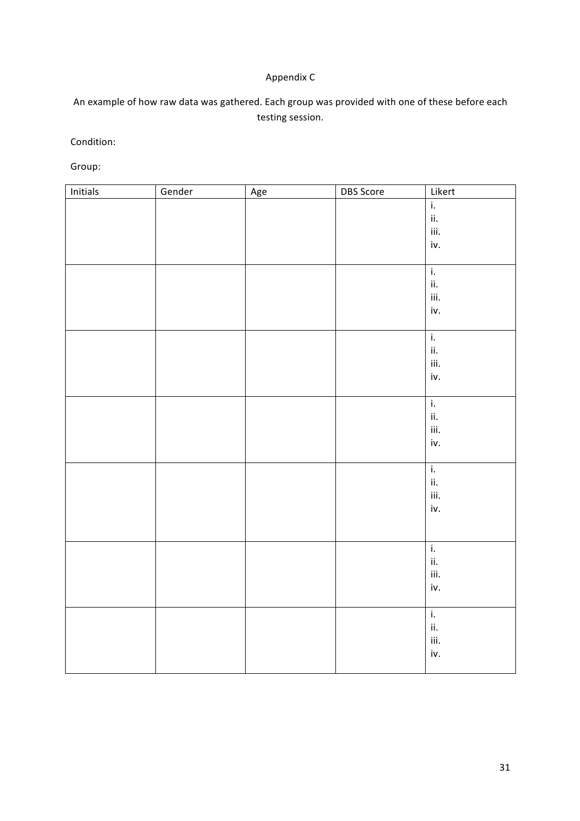# Appendix C

An example of how raw data was gathered. Each group was provided with one of these before each testing session.

Condition:

Group:

| Initials | Gender | Age | <b>DBS</b> Score | Likert                    |
|----------|--------|-----|------------------|---------------------------|
|          |        |     |                  | $\overline{\mathbf{i}}$ . |
|          |        |     |                  | ii.                       |
|          |        |     |                  | iii.                      |
|          |        |     |                  | iv.                       |
|          |        |     |                  |                           |
|          |        |     |                  | $\overline{\mathbf{i}}$ . |
|          |        |     |                  | ii.                       |
|          |        |     |                  | iii.                      |
|          |        |     |                  | iv.                       |
|          |        |     |                  |                           |
|          |        |     |                  | $\overline{\mathbf{i}}$ . |
|          |        |     |                  | ii.                       |
|          |        |     |                  | iii.                      |
|          |        |     |                  | iv.                       |
|          |        |     |                  |                           |
|          |        |     |                  | $\overline{\mathbf{i}}$ . |
|          |        |     |                  | ii.                       |
|          |        |     |                  | iii.                      |
|          |        |     |                  | iv.                       |
|          |        |     |                  |                           |
|          |        |     |                  | $\overline{\mathbf{i}}$ . |
|          |        |     |                  | ii.                       |
|          |        |     |                  | iii.                      |
|          |        |     |                  | iv.                       |
|          |        |     |                  |                           |
|          |        |     |                  |                           |
|          |        |     |                  | $\mathbf{i}$              |
|          |        |     |                  | ii.                       |
|          |        |     |                  | iii.                      |
|          |        |     |                  | iv.                       |
|          |        |     |                  |                           |
|          |        |     |                  | $\overline{\mathbf{i}}$ . |
|          |        |     |                  | ii.                       |
|          |        |     |                  | iii.                      |
|          |        |     |                  | iv.                       |
|          |        |     |                  |                           |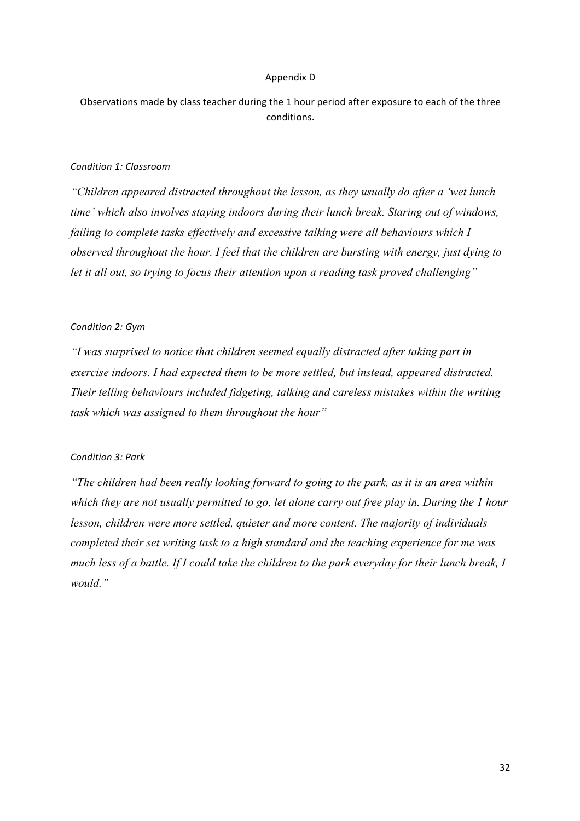#### Appendix"D

Observations made by class teacher during the 1 hour period after exposure to each of the three conditions.

### *Condition'1:'Classroom*

*"Children appeared distracted throughout the lesson, as they usually do after a 'wet lunch time' which also involves staying indoors during their lunch break. Staring out of windows, failing to complete tasks effectively and excessive talking were all behaviours which I observed throughout the hour. I feel that the children are bursting with energy, just dying to let it all out, so trying to focus their attention upon a reading task proved challenging"*

### Condition 2: Gym

*"I was surprised to notice that children seemed equally distracted after taking part in exercise indoors. I had expected them to be more settled, but instead, appeared distracted. Their telling behaviours included fidgeting, talking and careless mistakes within the writing task which was assigned to them throughout the hour"*

# *Condition'3:'Park*

*"The children had been really looking forward to going to the park, as it is an area within which they are not usually permitted to go, let alone carry out free play in. During the 1 hour lesson, children were more settled, quieter and more content. The majority of individuals completed their set writing task to a high standard and the teaching experience for me was much less of a battle. If I could take the children to the park everyday for their lunch break, I would."*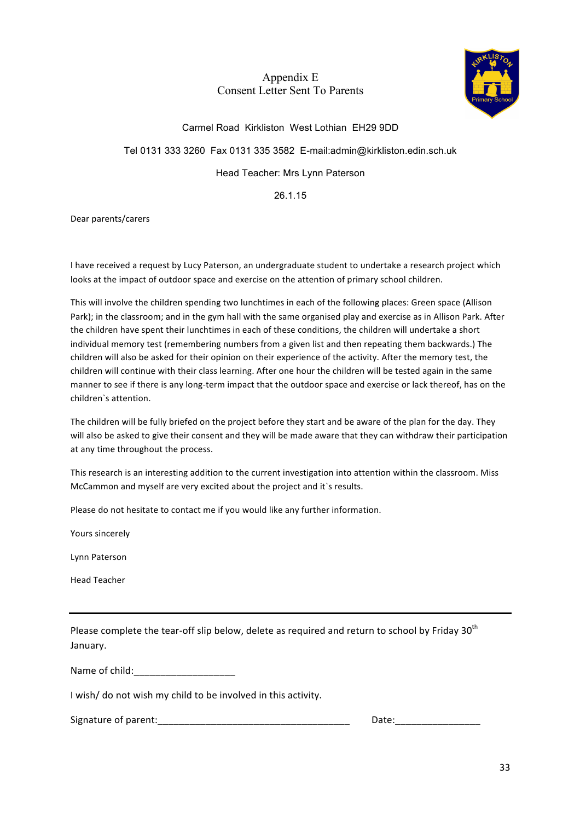# Appendix E Consent Letter Sent To Parents



# Carmel Road Kirkliston West Lothian EH29 9DD

# Tel 0131 333 3260 Fax 0131 335 3582 E-mail:admin@kirkliston.edin.sch.uk

# Head Teacher: Mrs Lynn Paterson

26.1.15

### Dear parents/carers

I have received a request by Lucy Paterson, an undergraduate student to undertake a research project which looks at the impact of outdoor space and exercise on the attention of primary school children.

This will involve the children spending two lunchtimes in each of the following places: Green space (Allison Park); in the classroom; and in the gym hall with the same organised play and exercise as in Allison Park. After the children have spent their lunchtimes in each of these conditions, the children will undertake a short individual memory test (remembering numbers from a given list and then repeating them backwards.) The children will also be asked for their opinion on their experience of the activity. After the memory test, the children will continue with their class learning. After one hour the children will be tested again in the same manner to see if there is any long-term impact that the outdoor space and exercise or lack thereof, has on the children's attention.

The children will be fully briefed on the project before they start and be aware of the plan for the day. They will also be asked to give their consent and they will be made aware that they can withdraw their participation at any time throughout the process.

This research is an interesting addition to the current investigation into attention within the classroom. Miss McCammon and myself are very excited about the project and it`s results.

Please do not hesitate to contact me if you would like any further information.

Yours sincerely

Lynn"Paterson

Head Teacher

Please complete the tear-off slip below, delete as required and return to school by Friday 30<sup>th</sup> January.

Name"of"child:\_\_\_\_\_\_\_\_\_\_\_\_\_\_\_\_\_\_\_"

I wish/ do not wish my child to be involved in this activity.

Signature of parent: The contract of parent: The contract of parent: The contract of parent: The contract of parent of  $\Gamma$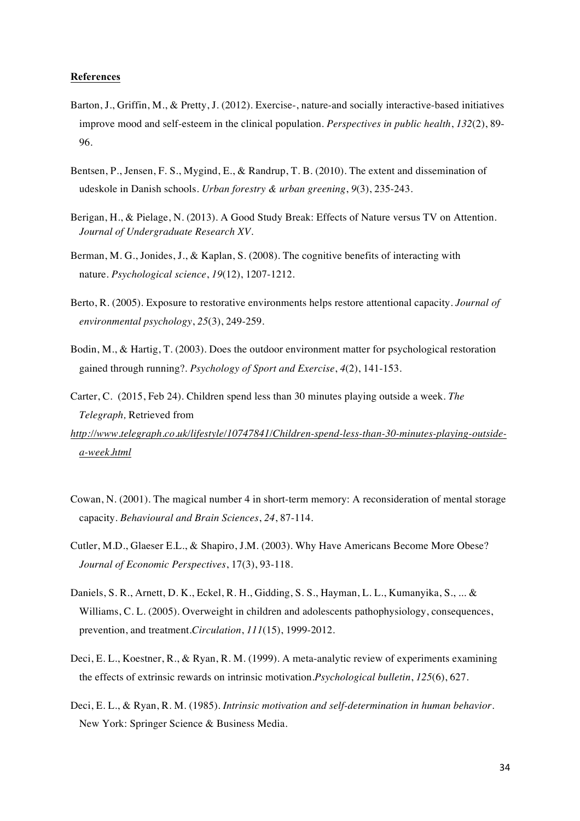#### **References**

- Barton, J., Griffin, M., & Pretty, J. (2012). Exercise-, nature-and socially interactive-based initiatives improve mood and self-esteem in the clinical population. *Perspectives in public health*, *132*(2), 89- 96.
- Bentsen, P., Jensen, F. S., Mygind, E., & Randrup, T. B. (2010). The extent and dissemination of udeskole in Danish schools. *Urban forestry & urban greening*, *9*(3), 235-243.
- Berigan, H., & Pielage, N. (2013). A Good Study Break: Effects of Nature versus TV on Attention. *Journal of Undergraduate Research XV.*
- Berman, M. G., Jonides, J., & Kaplan, S. (2008). The cognitive benefits of interacting with nature. *Psychological science*, *19*(12), 1207-1212.
- Berto, R. (2005). Exposure to restorative environments helps restore attentional capacity. *Journal of environmental psychology*, *25*(3), 249-259.
- Bodin, M., & Hartig, T. (2003). Does the outdoor environment matter for psychological restoration gained through running?. *Psychology of Sport and Exercise*, *4*(2), 141-153.
- Carter, C. (2015, Feb 24). Children spend less than 30 minutes playing outside a week. *The Telegraph,* Retrieved from
- *http://www.telegraph.co.uk/lifestyle/10747841/Children-spend-less-than-30-minutes-playing-outsidea-week.html*
- Cowan, N. (2001). The magical number 4 in short-term memory: A reconsideration of mental storage capacity. *Behavioural and Brain Sciences*, *24*, 87-114.
- Cutler, M.D., Glaeser E.L., & Shapiro, J.M. (2003). Why Have Americans Become More Obese? *Journal of Economic Perspectives*, 17(3), 93-118.
- Daniels, S. R., Arnett, D. K., Eckel, R. H., Gidding, S. S., Hayman, L. L., Kumanyika, S., ... & Williams, C. L. (2005). Overweight in children and adolescents pathophysiology, consequences, prevention, and treatment.*Circulation*, *111*(15), 1999-2012.
- Deci, E. L., Koestner, R., & Ryan, R. M. (1999). A meta-analytic review of experiments examining the effects of extrinsic rewards on intrinsic motivation.*Psychological bulletin*, *125*(6), 627.
- Deci, E. L., & Ryan, R. M. (1985). *Intrinsic motivation and self-determination in human behavior*. New York: Springer Science & Business Media.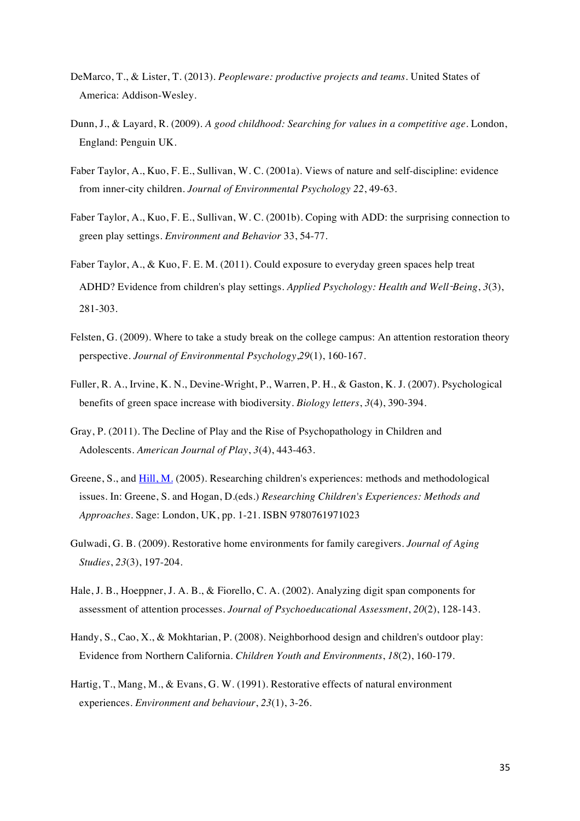- DeMarco, T., & Lister, T. (2013). *Peopleware: productive projects and teams*. United States of America: Addison-Wesley.
- Dunn, J., & Layard, R. (2009). *A good childhood: Searching for values in a competitive age*. London, England: Penguin UK.
- Faber Taylor, A., Kuo, F. E., Sullivan, W. C. (2001a). Views of nature and self-discipline: evidence from inner-city children*. Journal of Environmental Psychology 22*, 49-63.
- Faber Taylor, A., Kuo, F. E., Sullivan, W. C. (2001b). Coping with ADD: the surprising connection to green play settings*. Environment and Behavior* 33, 54-77.
- Faber Taylor, A., & Kuo, F. E. M. (2011). Could exposure to everyday green spaces help treat ADHD? Evidence from children's play settings. *Applied Psychology: Health and Well*-*Being*, *3*(3), 281-303.
- Felsten, G. (2009). Where to take a study break on the college campus: An attention restoration theory perspective. *Journal of Environmental Psychology*,*29*(1), 160-167.
- Fuller, R. A., Irvine, K. N., Devine-Wright, P., Warren, P. H., & Gaston, K. J. (2007). Psychological benefits of green space increase with biodiversity. *Biology letters*, *3*(4), 390-394.
- Gray, P. (2011). The Decline of Play and the Rise of Psychopathology in Children and Adolescents. *American Journal of Play*, *3*(4), 443-463.
- Greene, S., and Hill, M. (2005). Researching children's experiences: methods and methodological issues. In: Greene, S. and Hogan, D.(eds.) *Researching Children's Experiences: Methods and Approaches.* Sage: London, UK, pp. 1-21. ISBN 9780761971023
- Gulwadi, G. B. (2009). Restorative home environments for family caregivers. *Journal of Aging Studies*, *23*(3), 197-204.
- Hale, J. B., Hoeppner, J. A. B., & Fiorello, C. A. (2002). Analyzing digit span components for assessment of attention processes. *Journal of Psychoeducational Assessment*, *20*(2), 128-143.
- Handy, S., Cao, X., & Mokhtarian, P. (2008). Neighborhood design and children's outdoor play: Evidence from Northern California. *Children Youth and Environments*, *18*(2), 160-179.
- Hartig, T., Mang, M., & Evans, G. W. (1991). Restorative effects of natural environment experiences. *Environment and behaviour*, *23*(1), 3-26.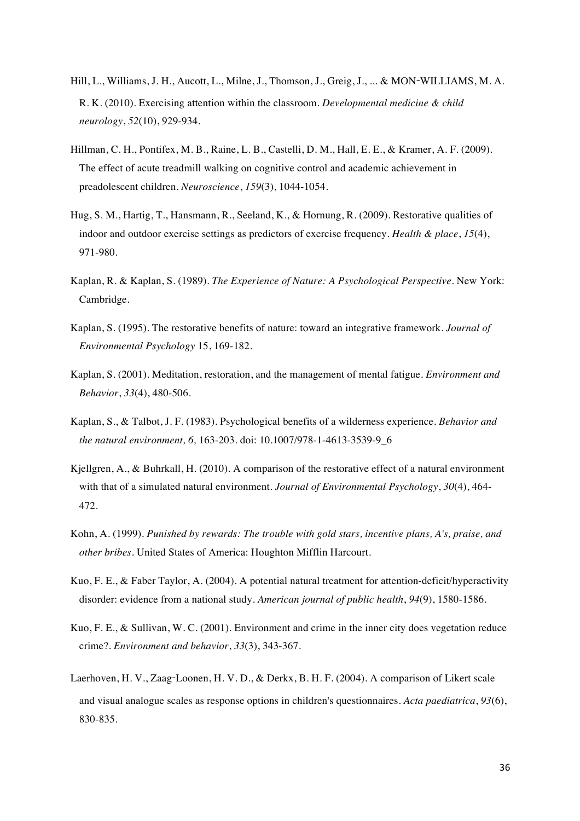- Hill, L., Williams, J. H., Aucott, L., Milne, J., Thomson, J., Greig, J., ... & MON-WILLIAMS, M. A. R. K. (2010). Exercising attention within the classroom. *Developmental medicine & child neurology*, *52*(10), 929-934.
- Hillman, C. H., Pontifex, M. B., Raine, L. B., Castelli, D. M., Hall, E. E., & Kramer, A. F. (2009). The effect of acute treadmill walking on cognitive control and academic achievement in preadolescent children. *Neuroscience*, *159*(3), 1044-1054.
- Hug, S. M., Hartig, T., Hansmann, R., Seeland, K., & Hornung, R. (2009). Restorative qualities of indoor and outdoor exercise settings as predictors of exercise frequency. *Health & place*, *15*(4), 971-980.
- Kaplan, R. & Kaplan, S. (1989). *The Experience of Nature: A Psychological Perspective*. New York: Cambridge.
- Kaplan, S. (1995). The restorative benefits of nature: toward an integrative framework. *Journal of Environmental Psychology* 15, 169-182.
- Kaplan, S. (2001). Meditation, restoration, and the management of mental fatigue. *Environment and Behavior*, *33*(4), 480-506.
- Kaplan, S., & Talbot, J. F. (1983). Psychological benefits of a wilderness experience. *Behavior and the natural environment, 6,* 163-203. doi: 10.1007/978-1-4613-3539-9\_6
- Kjellgren, A., & Buhrkall, H. (2010). A comparison of the restorative effect of a natural environment with that of a simulated natural environment. *Journal of Environmental Psychology*, *30*(4), 464- 472.
- Kohn, A. (1999). *Punished by rewards: The trouble with gold stars, incentive plans, A's, praise, and other bribes*. United States of America: Houghton Mifflin Harcourt.
- Kuo, F. E., & Faber Taylor, A. (2004). A potential natural treatment for attention-deficit/hyperactivity disorder: evidence from a national study. *American journal of public health*, *94*(9), 1580-1586.
- Kuo, F. E., & Sullivan, W. C. (2001). Environment and crime in the inner city does vegetation reduce crime?. *Environment and behavior*, *33*(3), 343-367.
- Laerhoven, H. V., Zaag-Loonen, H. V. D., & Derkx, B. H. F. (2004). A comparison of Likert scale and visual analogue scales as response options in children's questionnaires. *Acta paediatrica*, *93*(6), 830-835.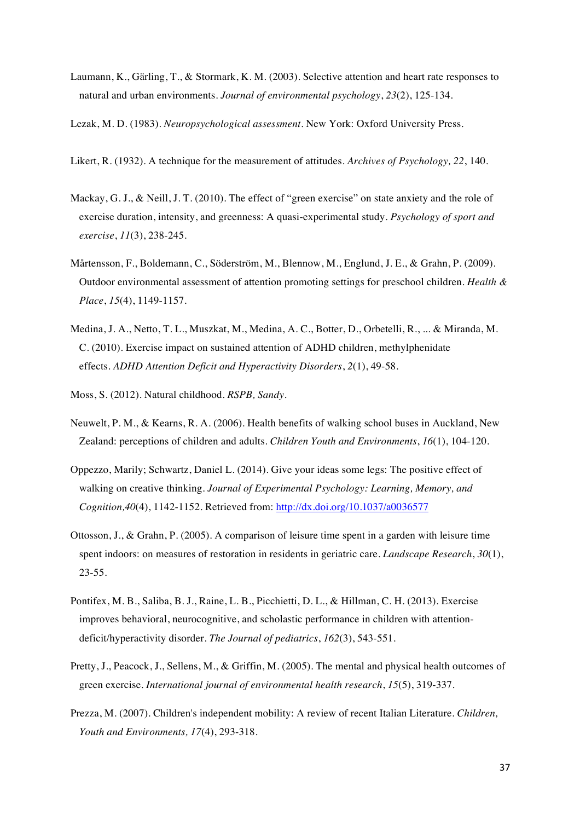- Laumann, K., Gärling, T., & Stormark, K. M. (2003). Selective attention and heart rate responses to natural and urban environments. *Journal of environmental psychology*, *23*(2), 125-134.
- Lezak, M. D. (1983). *Neuropsychological assessment*. New York: Oxford University Press.
- Likert, R. (1932). A technique for the measurement of attitudes. *Archives of Psychology, 22*, 140.
- Mackay, G. J., & Neill, J. T. (2010). The effect of "green exercise" on state anxiety and the role of exercise duration, intensity, and greenness: A quasi-experimental study. *Psychology of sport and exercise*, *11*(3), 238-245.
- Mårtensson, F., Boldemann, C., Söderström, M., Blennow, M., Englund, J. E., & Grahn, P. (2009). Outdoor environmental assessment of attention promoting settings for preschool children. *Health & Place*, *15*(4), 1149-1157.
- Medina, J. A., Netto, T. L., Muszkat, M., Medina, A. C., Botter, D., Orbetelli, R., ... & Miranda, M. C. (2010). Exercise impact on sustained attention of ADHD children, methylphenidate effects. *ADHD Attention Deficit and Hyperactivity Disorders*, *2*(1), 49-58.
- Moss, S. (2012). Natural childhood. *RSPB, Sandy*.
- Neuwelt, P. M., & Kearns, R. A. (2006). Health benefits of walking school buses in Auckland, New Zealand: perceptions of children and adults. *Children Youth and Environments*, *16*(1), 104-120.
- Oppezzo, Marily; Schwartz, Daniel L. (2014). Give your ideas some legs: The positive effect of walking on creative thinking. *Journal of Experimental Psychology: Learning, Memory, and Cognition,40*(4), 1142-1152. Retrieved from: http://dx.doi.org/10.1037/a0036577
- Ottosson, J., & Grahn, P. (2005). A comparison of leisure time spent in a garden with leisure time spent indoors: on measures of restoration in residents in geriatric care. *Landscape Research*, *30*(1), 23-55.
- Pontifex, M. B., Saliba, B. J., Raine, L. B., Picchietti, D. L., & Hillman, C. H. (2013). Exercise improves behavioral, neurocognitive, and scholastic performance in children with attentiondeficit/hyperactivity disorder. *The Journal of pediatrics*, *162*(3), 543-551.
- Pretty, J., Peacock, J., Sellens, M., & Griffin, M. (2005). The mental and physical health outcomes of green exercise. *International journal of environmental health research*, *15*(5), 319-337.
- Prezza, M. (2007). Children's independent mobility: A review of recent Italian Literature. *Children, Youth and Environments, 17*(4), 293-318.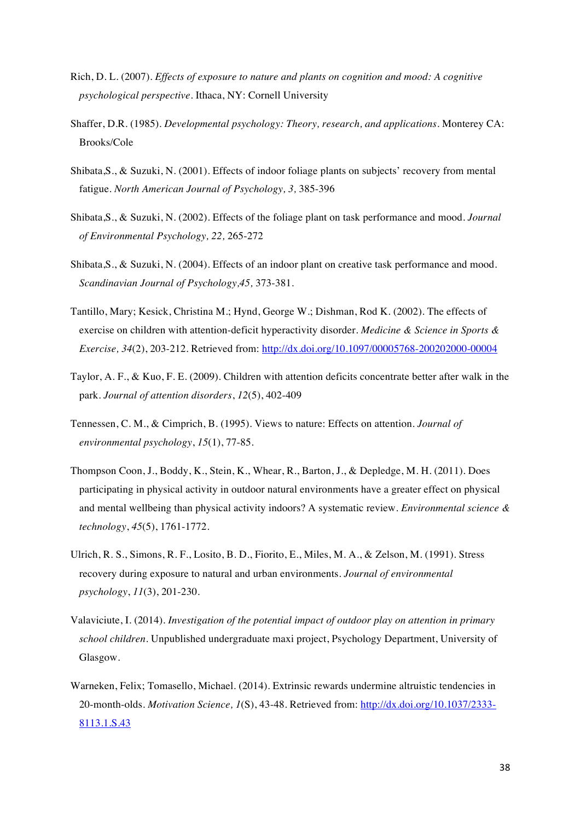- Rich, D. L. (2007). *Effects of exposure to nature and plants on cognition and mood: A cognitive psychological perspective*. Ithaca, NY: Cornell University
- Shaffer, D.R. (1985). *Developmental psychology: Theory, research, and applications.* Monterey CA: Brooks/Cole
- Shibata,S., & Suzuki, N. (2001). Effects of indoor foliage plants on subjects' recovery from mental fatigue. *North American Journal of Psychology, 3,* 385-396
- Shibata,S., & Suzuki, N. (2002). Effects of the foliage plant on task performance and mood. *Journal of Environmental Psychology, 22,* 265-272
- Shibata,S., & Suzuki, N. (2004). Effects of an indoor plant on creative task performance and mood. *Scandinavian Journal of Psychology,45,* 373-381.
- Tantillo, Mary; Kesick, Christina M.; Hynd, George W.; Dishman, Rod K. (2002). The effects of exercise on children with attention-deficit hyperactivity disorder. *Medicine & Science in Sports & Exercise, 34*(2), 203-212. Retrieved from: http://dx.doi.org/10.1097/00005768-200202000-00004
- Taylor, A. F., & Kuo, F. E. (2009). Children with attention deficits concentrate better after walk in the park. *Journal of attention disorders*, *12*(5), 402-409
- Tennessen, C. M., & Cimprich, B. (1995). Views to nature: Effects on attention. *Journal of environmental psychology*, *15*(1), 77-85.
- Thompson Coon, J., Boddy, K., Stein, K., Whear, R., Barton, J., & Depledge, M. H. (2011). Does participating in physical activity in outdoor natural environments have a greater effect on physical and mental wellbeing than physical activity indoors? A systematic review. *Environmental science & technology*, *45*(5), 1761-1772.
- Ulrich, R. S., Simons, R. F., Losito, B. D., Fiorito, E., Miles, M. A., & Zelson, M. (1991). Stress recovery during exposure to natural and urban environments. *Journal of environmental psychology*, *11*(3), 201-230.
- Valaviciute, I. (2014). *Investigation of the potential impact of outdoor play on attention in primary school children*. Unpublished undergraduate maxi project, Psychology Department, University of Glasgow.
- Warneken, Felix; Tomasello, Michael. (2014). Extrinsic rewards undermine altruistic tendencies in 20-month-olds*. Motivation Science, 1*(S), 43-48. Retrieved from: http://dx.doi.org/10.1037/2333- 8113.1.S.43